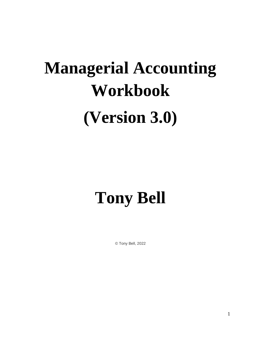# **Managerial Accounting Workbook (Version 3.0)**

### **Tony Bell**

© Tony Bell, 2022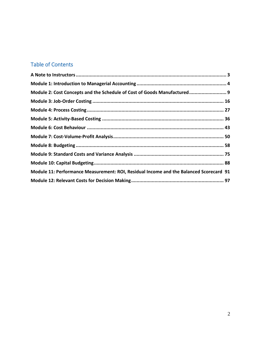#### Table of Contents

| Module 2: Cost Concepts and the Schedule of Cost of Goods Manufactured 9               |  |
|----------------------------------------------------------------------------------------|--|
|                                                                                        |  |
|                                                                                        |  |
|                                                                                        |  |
|                                                                                        |  |
|                                                                                        |  |
|                                                                                        |  |
|                                                                                        |  |
|                                                                                        |  |
| Module 11: Performance Measurement: ROI, Residual Income and the Balanced Scorecard 91 |  |
|                                                                                        |  |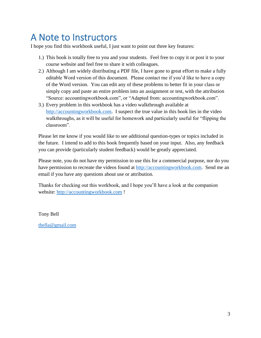### <span id="page-2-0"></span>A Note to Instructors

I hope you find this workbook useful, I just want to point out three key features:

- 1.) This book is totally free to you and your students. Feel free to copy it or post it to your course website and feel free to share it with colleagues.
- 2.) Although I am widely distributing a PDF file, I have gone to great effort to make a fully editable Word version of this document. Please contact me if you'd like to have a copy of the Word version. You can edit any of these problems to better fit in your class or simply copy and paste an entire problem into an assignment or test, with the attribution "Source: accountingworkbook.com", or "Adapted from: accountingworkbook.com".
- 3.) Every problem in this workbook has a video walkthrough available at [http://accountingworkbook.com.](http://accountingworkbook.com/) I suspect the true value in this book lies in the video walkthroughs, as it will be useful for homework and particularly useful for "flipping the classroom".

Please let me know if you would like to see additional question-types or topics included in the future. I intend to add to this book frequently based on your input. Also, any feedback you can provide (particularly student feedback) would be greatly appreciated.

Please note, you do not have my permission to use this for a commercial purpose, nor do you have permission to recreate the videos found at [http://accountingworkbook.com.](http://accountingworkbook.com/) Send me an email if you have any questions about use or attribution.

Thanks for checking out this workbook, and I hope you'll have a look at the companion website: [http://accountingworkbook.com](http://accountingworkbook.com/) !

Tony Bell

[tbella@gmail.com](mailto:tbella@gmail.com)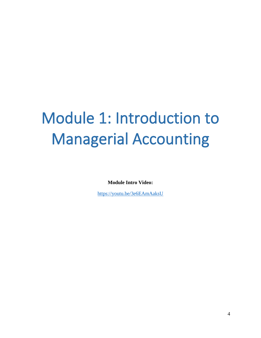# <span id="page-3-0"></span>Module 1: Introduction to Managerial Accounting

**Module Intro Video:**

<https://youtu.be/3e6EAmAaksU>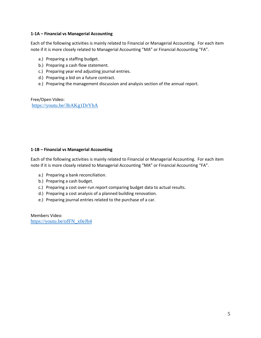#### **1-1A – Financial vs Managerial Accounting**

Each of the following activities is mainly related to Financial or Managerial Accounting. For each item note if it is more closely related to Managerial Accounting "MA" or Financial Accounting "FA".

- a.) Preparing a staffing budget.
- b.) Preparing a cash flow statement.
- c.) Preparing year end adjusting journal entries.
- d.) Preparing a bid on a future contract.
- e.) Preparing the management discussion and analysis section of the annual report.

Free/Open Video: <https://youtu.be/3bAKg1DrYhA>

#### **1-1B – Financial vs Managerial Accounting**

Each of the following activities is mainly related to Financial or Managerial Accounting. For each item note if it is more closely related to Managerial Accounting "MA" or Financial Accounting "FA".

- a.) Preparing a bank reconciliation.
- b.) Preparing a cash budget.
- c.) Preparing a cost over-run report comparing budget data to actual results.
- d.) Preparing a cost analysis of a planned building renovation.
- e.) Preparing journal entries related to the purchase of a car.

Members Video: [https://youtu.be/ofFN\\_x0eJb4](https://youtu.be/ofFN_x0eJb4)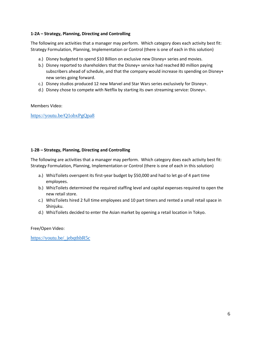#### **1-2A – Strategy, Planning, Directing and Controlling**

The following are activities that a manager may perform. Which category does each activity best fit: Strategy Formulation, Planning, Implementation or Control (there is one of each in this solution)

- a.) Disney budgeted to spend \$10 Billion on exclusive new Disney+ series and movies.
- b.) Disney reported to shareholders that the Disney+ service had reached 80 million paying subscribers ahead of schedule, and that the company would increase its spending on Disney+ new series going forward.
- c.) Disney studios produced 12 new Marvel and Star Wars series exclusively for Disney+.
- d.) Disney chose to compete with Netflix by starting its own streaming service: Disney+.

Members Video:

<https://youtu.be/Q1obxPgQpa8>

#### **1-2B – Strategy, Planning, Directing and Controlling**

The following are activities that a manager may perform. Which category does each activity best fit: Strategy Formulation, Planning, Implementation or Control (there is one of each in this solution)

- a.) WhizToilets overspent its first-year budget by \$50,000 and had to let go of 4 part time employees.
- b.) WhizToilets determined the required staffing level and capital expenses required to open the new retail store.
- c.) WhizToilets hired 2 full time employees and 10 part timers and rented a small retail space in Shinjuku.
- d.) WhizToilets decided to enter the Asian market by opening a retail location in Tokyo.

Free/Open Video:

[https://youtu.be/\\_jebqthbR5c](https://youtu.be/_jebqthbR5c)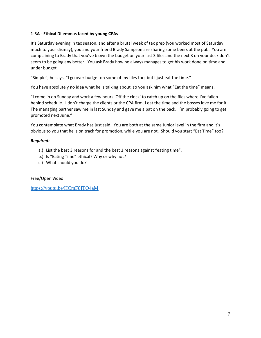#### **1-3A - Ethical Dilemmas faced by young CPAs**

It's Saturday evening in tax season, and after a brutal week of tax prep (you worked most of Saturday, much to your dismay), you and your friend Brady Sampson are sharing some beers at the pub. You are complaining to Brady that you've blown the budget on your last 3 files and the next 3 on your desk don't seem to be going any better. You ask Brady how he always manages to get his work done on time and under budget.

"Simple", he says, "I go over budget on some of my files too, but I just eat the time."

You have absolutely no idea what he is talking about, so you ask him what "Eat the time" means.

"I come in on Sunday and work a few hours 'Off the clock' to catch up on the files where I've fallen behind schedule. I don't charge the clients or the CPA firm, I eat the time and the bosses love me for it. The managing partner saw me in last Sunday and gave me a pat on the back. I'm probably going to get promoted next June."

You contemplate what Brady has just said. You are both at the same Junior level in the firm and it's obvious to you that he is on track for promotion, while you are not. Should you start "Eat Time" too?

#### *Required:*

- a.) List the best 3 reasons for and the best 3 reasons against "eating time".
- b.) Is "Eating Time" ethical? Why or why not?
- c.) What should you do?

Free/Open Video:

<https://youtu.be/HCmF8ITO4aM>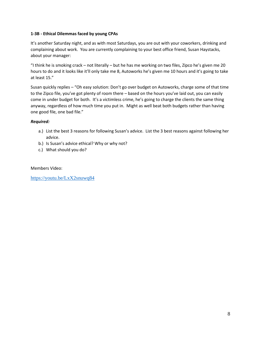#### **1-3B - Ethical Dilemmas faced by young CPAs**

It's another Saturday night, and as with most Saturdays, you are out with your coworkers, drinking and complaining about work. You are currently complaining to your best office friend, Susan Haystacks, about your manager:

"I think he is smoking crack – not literally – but he has me working on two files, Zipco he's given me 20 hours to do and it looks like it'll only take me 8, Autoworks he's given me 10 hours and it's going to take at least 15."

Susan quickly replies – "Oh easy solution: Don't go over budget on Autoworks, charge some of that time to the Zipco file, you've got plenty of room there – based on the hours you've laid out, you can easily come in under budget for both. It's a victimless crime, he's going to charge the clients the same thing anyway, regardless of how much time you put in. Might as well beat both budgets rather than having one good file, one bad file."

#### *Required:*

- a.) List the best 3 reasons for following Susan's advice. List the 3 best reasons against following her advice.
- b.) Is Susan's advice ethical? Why or why not?
- c.) What should you do?

Members Video:

<https://youtu.be/LxX2snuwq84>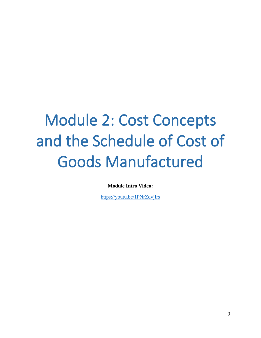# <span id="page-8-0"></span>Module 2: Cost Concepts and the Schedule of Cost of Goods Manufactured

**Module Intro Video:**

<https://youtu.be/1PNrZdvjIrs>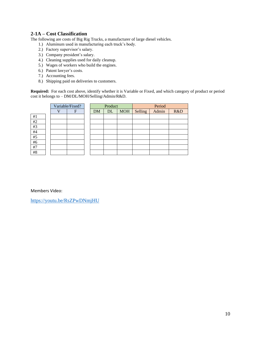#### **2-1A – Cost Classification**

The following are costs of Big Rig Trucks, a manufacturer of large diesel vehicles.

- 1.) Aluminum used in manufacturing each truck's body.
- 2.) Factory supervisor's salary.
- 3.) Company president's salary.
- 4.) Cleaning supplies used for daily cleanup.
- 5.) Wages of workers who build the engines.
- 6.) Patent lawyer's costs.
- 7.) Accounting fees.
- 8.) Shipping paid on deliveries to customers.

**Required:** For each cost above, identify whether it is Variable or Fixed, and which category of product or period cost it belongs to – DM/DL/MOH/Selling/Admin/R&D.

|    | Variable/Fixed? |  | Product   |    |            | Period  |       |     |
|----|-----------------|--|-----------|----|------------|---------|-------|-----|
|    | F               |  | <b>DM</b> | DL | <b>MOH</b> | Selling | Admin | R&D |
| #1 |                 |  |           |    |            |         |       |     |
| #2 |                 |  |           |    |            |         |       |     |
| #3 |                 |  |           |    |            |         |       |     |
| #4 |                 |  |           |    |            |         |       |     |
| #5 |                 |  |           |    |            |         |       |     |
| #6 |                 |  |           |    |            |         |       |     |
| #7 |                 |  |           |    |            |         |       |     |
| #8 |                 |  |           |    |            |         |       |     |

Members Video:

<https://youtu.be/RsZPwDNmjHU>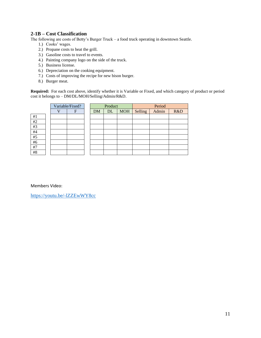#### **2-1B – Cost Classification**

The following are costs of Betty's Burger Truck – a food truck operating in downtown Seattle.

- 1.) Cooks' wages.
- 2.) Propane costs to heat the grill.
- 3.) Gasoline costs to travel to events.
- 4.) Painting company logo on the side of the truck.
- 5.) Business license.
- 6.) Depreciation on the cooking equipment.
- 7.) Costs of improving the recipe for new bison burger.
- 8.) Burger meat.

**Required:** For each cost above, identify whether it is Variable or Fixed, and which category of product or period cost it belongs to – DM/DL/MOH/Selling/Admin/R&D.

|       | Variable/Fixed? |   | Product |    | Period     |         |       |     |
|-------|-----------------|---|---------|----|------------|---------|-------|-----|
|       |                 | F | DM      | DL | <b>MOH</b> | Selling | Admin | R&D |
| #1    |                 |   |         |    |            |         |       |     |
| #2    |                 |   |         |    |            |         |       |     |
| #3    |                 |   |         |    |            |         |       |     |
| $\#4$ |                 |   |         |    |            |         |       |     |
| #5    |                 |   |         |    |            |         |       |     |
| #6    |                 |   |         |    |            |         |       |     |
| #7    |                 |   |         |    |            |         |       |     |
| #8    |                 |   |         |    |            |         |       |     |

Members Video:

<https://youtu.be/-lZZEwWY8cc>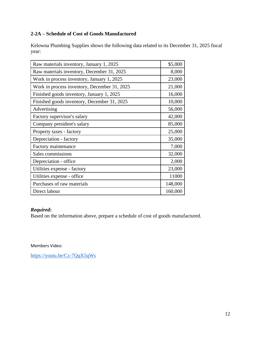#### **2-2A – Schedule of Cost of Goods Manufactured**

Kelowna Plumbing Supplies shows the following data related to its December 31, 2025 fiscal year:

| Raw materials inventory, January 1, 2025     | \$5,000 |
|----------------------------------------------|---------|
| Raw materials inventory, December 31, 2025   | 8,000   |
| Work in process inventory, January 1, 2025   | 23,000  |
| Work in process inventory, December 31, 2025 | 21,000  |
| Finished goods inventory, January 1, 2025    | 16,000  |
| Finished goods inventory, December 31, 2025  | 10,000  |
| Advertising                                  | 56,000  |
| Factory supervisor's salary                  | 42,000  |
| Company president's salary                   | 85,000  |
| Property taxes - factory                     | 25,000  |
| Depreciation - factory                       | 35,000  |
| Factory maintenance                          | 7,000   |
| Sales commissions                            | 32,000  |
| Depreciation - office                        | 2,000   |
| Utilities expense - factory                  | 23,000  |
| Utilities expense - office                   | 11000   |
| Purchases of raw materials                   | 148,000 |
| Direct labour                                | 160,000 |

#### *Required:*

Based on the information above, prepare a schedule of cost of goods manufactured.

Members Video:

<https://youtu.be/Cz-7QqX5qWs>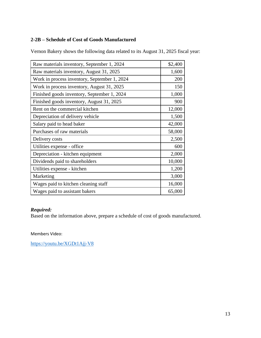#### **2-2B – Schedule of Cost of Goods Manufactured**

| Raw materials inventory, September 1, 2024   | \$2,400 |
|----------------------------------------------|---------|
| Raw materials inventory, August 31, 2025     | 1,600   |
| Work in process inventory, September 1, 2024 | 200     |
| Work in process inventory, August 31, 2025   | 150     |
| Finished goods inventory, September 1, 2024  | 1,000   |
| Finished goods inventory, August 31, 2025    | 900     |
| Rent on the commercial kitchen               | 12,000  |
| Depreciation of delivery vehicle             | 1,500   |
| Salary paid to head baker                    | 42,000  |
| Purchases of raw materials                   | 58,000  |
| Delivery costs                               | 2,500   |
| Utilities expense - office                   | 600     |
| Depreciation - kitchen equipment             | 2,000   |
| Dividends paid to shareholders               | 10,000  |
| Utilities expense - kitchen                  | 1,200   |
| Marketing                                    | 3,000   |
| Wages paid to kitchen cleaning staff         | 16,000  |
| Wages paid to assistant bakers               | 65,000  |

Vernon Bakery shows the following data related to its August 31, 2025 fiscal year:

#### *Required:*

Based on the information above, prepare a schedule of cost of goods manufactured.

Members Video:

<https://youtu.be/XGDt1Ajj-V8>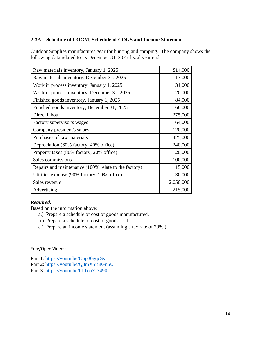#### **2-3A – Schedule of COGM, Schedule of COGS and Income Statement**

Outdoor Supplies manufactures gear for hunting and camping. The company shows the following data related to its December 31, 2025 fiscal year end:

| Raw materials inventory, January 1, 2025             | \$14,000  |
|------------------------------------------------------|-----------|
| Raw materials inventory, December 31, 2025           | 17,000    |
| Work in process inventory, January 1, 2025           | 31,000    |
| Work in process inventory, December 31, 2025         | 20,000    |
| Finished goods inventory, January 1, 2025            | 84,000    |
| Finished goods inventory, December 31, 2025          | 68,000    |
| Direct labour                                        | 275,000   |
| Factory supervisor's wages                           | 64,000    |
| Company president's salary                           | 120,000   |
| Purchases of raw materials                           | 425,000   |
| Depreciation (60% factory, 40% office)               | 240,000   |
| Property taxes (80% factory, 20% office)             | 20,000    |
| Sales commissions                                    | 100,000   |
| Repairs and maintenance (100% relate to the factory) | 15,000    |
| Utilities expense (90% factory, 10% office)          | 30,000    |
| Sales revenue                                        | 2,050,000 |
| Advertising                                          | 215,000   |

#### *Required:*

Based on the information above:

- a.) Prepare a schedule of cost of goods manufactured.
- b.) Prepare a schedule of cost of goods sold.
- c.) Prepare an income statement (assuming a tax rate of 20%.)

Free/Open Videos:

- Part 1: <https://youtu.be/O6p30gqcSsI>
- Part 2: <https://youtu.be/Q3mXYanGn6U>
- Part 3: <https://youtu.be/h1TonZ-3490>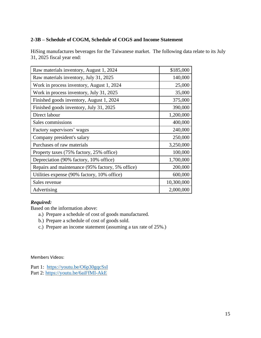#### **2-3B – Schedule of COGM, Schedule of COGS and Income Statement**

HiSing manufactures beverages for the Taiwanese market. The following data relate to its July 31, 2025 fiscal year end:

| Raw materials inventory, August 1, 2024          | \$185,000  |
|--------------------------------------------------|------------|
| Raw materials inventory, July 31, 2025           | 140,000    |
| Work in process inventory, August 1, 2024        | 25,000     |
| Work in process inventory, July 31, 2025         | 35,000     |
| Finished goods inventory, August 1, 2024         | 375,000    |
| Finished goods inventory, July 31, 2025          | 390,000    |
| Direct labour                                    | 1,200,000  |
| Sales commissions                                | 400,000    |
| Factory supervisors' wages                       | 240,000    |
| Company president's salary                       | 250,000    |
| Purchases of raw materials                       | 3,250,000  |
| Property taxes (75% factory, 25% office)         | 100,000    |
| Depreciation (90% factory, 10% office)           | 1,700,000  |
| Repairs and maintenance (95% factory, 5% office) | 200,000    |
| Utilities expense (90% factory, 10% office)      | 600,000    |
| Sales revenue                                    | 10,300,000 |
| Advertising                                      | 2,000,000  |

#### *Required:*

Based on the information above:

- a.) Prepare a schedule of cost of goods manufactured.
- b.) Prepare a schedule of cost of goods sold.
- c.) Prepare an income statement (assuming a tax rate of 25%.)

Members Videos:

Part 1: <https://youtu.be/O6p30gqcSsI> Part 2: <https://youtu.be/6aiFfMI-AkE>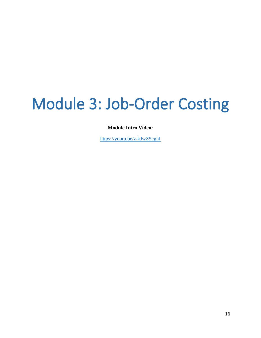## <span id="page-15-0"></span>Module 3: Job-Order Costing

**Module Intro Video:**

<https://youtu.be/z-kJwZ5cghI>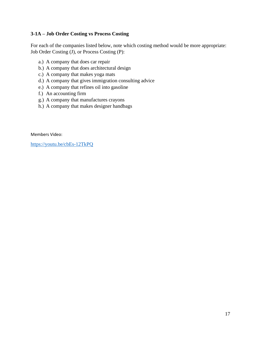#### **3-1A – Job Order Costing vs Process Costing**

For each of the companies listed below, note which costing method would be more appropriate: Job Order Costing (J), or Process Costing (P):

- a.) A company that does car repair
- b.) A company that does architectural design
- c.) A company that makes yoga mats
- d.) A company that gives immigration consulting advice
- e.) A company that refines oil into gasoline
- f.) An accounting firm
- g.) A company that manufactures crayons
- h.) A company that makes designer handbags

Members Video:

<https://youtu.be/cbEs-12TkPQ>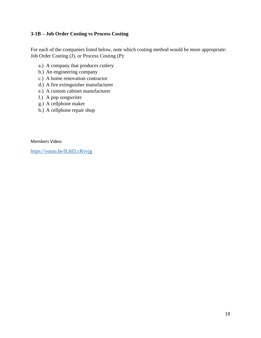#### **3-1B – Job Order Costing vs Process Costing**

For each of the companies listed below, note which costing method would be more appropriate: Job Order Costing (J), or Process Costing (P):

- a.) A company that produces cutlery
- b.) An engineering company
- c.) A home renovation contractor
- d.) A fire extinguisher manufacturer
- e.) A custom cabinet manufacturer
- f.) A pop songwriter
- g.) A cellphone maker
- h.) A cellphone repair shop

Members Video:

<https://youtu.be/lLhELcRvvjg>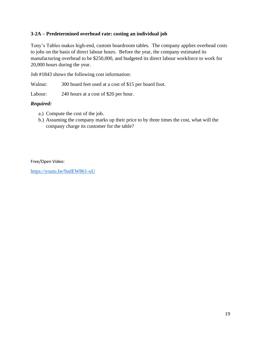#### **3-2A – Predetermined overhead rate: costing an individual job**

Tony's Tables makes high-end, custom boardroom tables. The company applies overhead costs to jobs on the basis of direct labour hours. Before the year, the company estimated its manufacturing overhead to be \$250,000, and budgeted its direct labour workforce to work for 20,000 hours during the year.

Job #1843 shows the following cost information:

Walnut: 300 board feet used at a cost of \$15 per board foot.

Labour: 240 hours at a cost of \$20 per hour.

#### *Required:*

- a.) Compute the cost of the job.
- b.) Assuming the company marks up their price to by three times the cost, what will the company charge its customer for the table?

Free/Open Video:

<https://youtu.be/9adEW861-uU>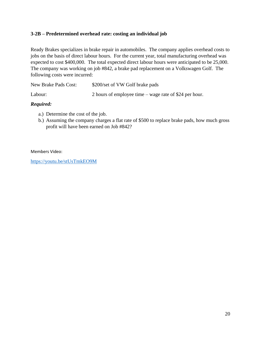#### **3-2B – Predetermined overhead rate: costing an individual job**

Ready Brakes specializes in brake repair in automobiles. The company applies overhead costs to jobs on the basis of direct labour hours. For the current year, total manufacturing overhead was expected to cost \$400,000. The total expected direct labour hours were anticipated to be 25,000. The company was working on job #842, a brake pad replacement on a Volkswagen Golf. The following costs were incurred:

| New Brake Pads Cost: | \$200/set of VW Golf brake pads                        |
|----------------------|--------------------------------------------------------|
| Labour:              | 2 hours of employee time – wage rate of \$24 per hour. |

#### *Required:*

- a.) Determine the cost of the job.
- b.) Assuming the company charges a flat rate of \$500 to replace brake pads, how much gross profit will have been earned on Job #842?

Members Video:

<https://youtu.be/stUsTmkEO9M>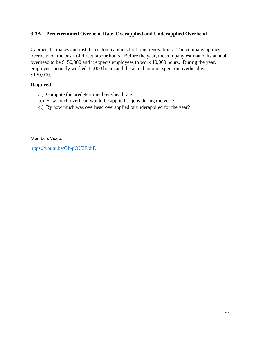#### **3-3A – Predetermined Overhead Rate, Overapplied and Underapplied Overhead**

Cabinets4U makes and installs custom cabinets for home renovations. The company applies overhead on the basis of direct labour hours. Before the year, the company estimated its annual overhead to be \$150,000 and it expects employees to work 10,000 hours. During the year, employees actually worked 11,000 hours and the actual amount spent on overhead was \$130,000.

#### **Required:**

- a.) Compute the predetermined overhead rate.
- b.) How much overhead would be applied to jobs during the year?
- c.) By how much was overhead overapplied or underapplied for the year?

Members Video:

<https://youtu.be/Oh-pOU3EbhE>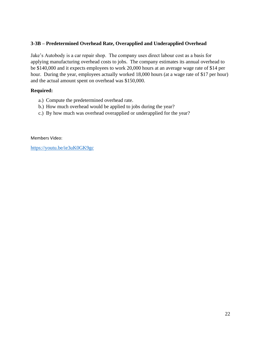#### **3-3B – Predetermined Overhead Rate, Overapplied and Underapplied Overhead**

Jake's Autobody is a car repair shop. The company uses direct labour cost as a basis for applying manufacturing overhead costs to jobs. The company estimates its annual overhead to be \$140,000 and it expects employees to work 20,000 hours at an average wage rate of \$14 per hour. During the year, employees actually worked 18,000 hours (at a wage rate of \$17 per hour) and the actual amount spent on overhead was \$150,000.

#### **Required:**

- a.) Compute the predetermined overhead rate.
- b.) How much overhead would be applied to jobs during the year?
- c.) By how much was overhead overapplied or underapplied for the year?

Members Video:

<https://youtu.be/ie3uK0GK9gc>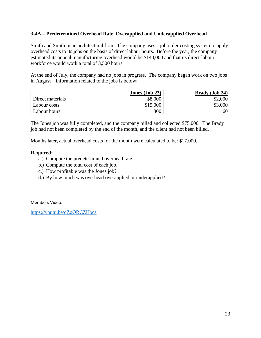#### **3-4A – Predetermined Overhead Rate, Overapplied and Underapplied Overhead**

Smith and Smith in an architectural firm. The company uses a job order costing system to apply overhead costs to its jobs on the basis of direct labour hours. Before the year, the company estimated its annual manufacturing overhead would be \$140,000 and that its direct-labour workforce would work a total of 3,500 hours.

At the end of July, the company had no jobs in progress. The company began work on two jobs in August – information related to the jobs is below:

|                  | Jones $(Job 23)$ | Brady (Job 24) |
|------------------|------------------|----------------|
| Direct materials | \$8,000          | \$2,000        |
| Labour costs     | \$15,000         | 0.006          |
| Labour hours     | 300              | 60             |

The Jones job was fully completed, and the company billed and collected \$75,000. The Brady job had not been completed by the end of the month, and the client had not been billed.

Months later, actual overhead costs for the month were calculated to be: \$17,000.

#### **Required:**

- a.) Compute the predetermined overhead rate.
- b.) Compute the total cost of each job.
- c.) How profitable was the Jones job?
- d.) By how much was overhead overapplied or underapplied?

Members Video:

<https://youtu.be/qZqORCZHbcs>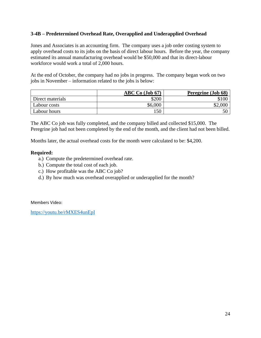#### **3-4B – Predetermined Overhead Rate, Overapplied and Underapplied Overhead**

Jones and Associates is an accounting firm. The company uses a job order costing system to apply overhead costs to its jobs on the basis of direct labour hours. Before the year, the company estimated its annual manufacturing overhead would be \$50,000 and that its direct-labour workforce would work a total of 2,000 hours.

At the end of October, the company had no jobs in progress. The company began work on two jobs in November – information related to the jobs is below:

|                  | ABC Co (Job 67) | Peregrine (Job 68) |
|------------------|-----------------|--------------------|
| Direct materials | \$200           |                    |
| Labour costs     | \$6,000         |                    |
| Labour hours     | .50             |                    |

The ABC Co job was fully completed, and the company billed and collected \$15,000. The Peregrine job had not been completed by the end of the month, and the client had not been billed.

Months later, the actual overhead costs for the month were calculated to be: \$4,200.

#### **Required:**

- a.) Compute the predetermined overhead rate.
- b.) Compute the total cost of each job.
- c.) How profitable was the ABC Co job?
- d.) By how much was overhead overapplied or underapplied for the month?

Members Video:

<https://youtu.be/rMXES4unEpI>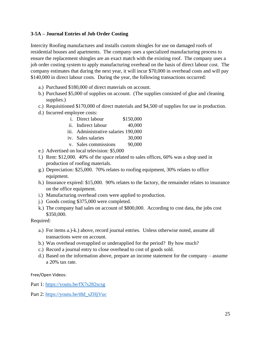#### **3-5A – Journal Entries of Job Order Costing**

Intercity Roofing manufactures and installs custom shingles for use on damaged roofs of residential houses and apartments. The company uses a specialized manufacturing process to ensure the replacement shingles are an exact match with the existing roof. The company uses a job order costing system to apply manufacturing overhead on the basis of direct labour cost. The company estimates that during the next year, it will incur \$70,000 in overhead costs and will pay \$140,000 in direct labour costs. During the year, the following transactions occurred:

- a.) Purchased \$180,000 of direct materials on account.
- b.) Purchased \$5,000 of supplies on account. (The supplies consisted of glue and cleaning supplies.)
- c.) Requisitioned \$170,000 of direct materials and \$4,500 of supplies for use in production.
- d.) Incurred employee costs:
	- i. Direct labour \$150,000
	- ii. Indirect labour 40,000
	- iii. Administrative salaries 190,000
	- iv. Sales salaries 30,000
	- v. Sales commissions 90,000
- e.) Advertised on local television: \$5,000
- f.) Rent: \$12,000. 40% of the space related to sales offices, 60% was a shop used in production of roofing materials.
- g.) Depreciation: \$25,000. 70% relates to roofing equipment, 30% relates to office equipment.
- h.) Insurance expired: \$15,000. 90% relates to the factory, the remainder relates to insurance on the office equipment.
- i.) Manufacturing overhead costs were applied to production.
- j.) Goods costing \$375,000 were completed.
- k.) The company had sales on account of \$800,000. According to cost data, the jobs cost \$350,000.

Required:

- a.) For items a.)-k.) above, record journal entries. Unless otherwise noted, assume all transactions were on account.
- b.) Was overhead overapplied or underapplied for the period? By how much?
- c.) Record a journal entry to close overhead to cost of goods sold.
- d.) Based on the information above, prepare an income statement for the company assume a 20% tax rate.

Free/Open Videos:

Part 1:<https://youtu.be/fX7s282scsg>

Part 2: [https://youtu.be/t8d\\_sZHjVuc](https://youtu.be/t8d_sZHjVuc)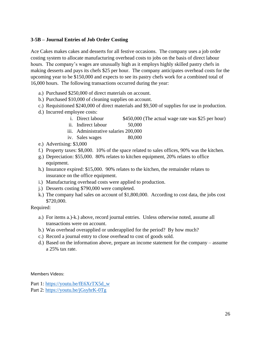#### **3-5B – Journal Entries of Job Order Costing**

Ace Cakes makes cakes and desserts for all festive occasions. The company uses a job order costing system to allocate manufacturing overhead costs to jobs on the basis of direct labour hours. The company's wages are unusually high as it employs highly skilled pastry chefs in making desserts and pays its chefs \$25 per hour. The company anticipates overhead costs for the upcoming year to be \$150,000 and expects to see its pastry chefs work for a combined total of 16,000 hours. The following transactions occurred during the year:

- a.) Purchased \$250,000 of direct materials on account.
- b.) Purchased \$10,000 of cleaning supplies on account.
- c.) Requisitioned \$240,000 of direct materials and \$9,500 of supplies for use in production.
- d.) Incurred employee costs:
	- i. Direct labour \$450,000 (The actual wage rate was \$25 per hour)
	- ii. Indirect labour 50,000
	- iii. Administrative salaries 200,000
	- iv. Sales wages 80,000
- e.) Advertising: \$3,000
- f.) Property taxes: \$8,000. 10% of the space related to sales offices, 90% was the kitchen.
- g.) Depreciation: \$55,000. 80% relates to kitchen equipment, 20% relates to office equipment.
- h.) Insurance expired: \$15,000. 90% relates to the kitchen, the remainder relates to insurance on the office equipment.
- i.) Manufacturing overhead costs were applied to production.
- j.) Desserts costing \$790,000 were completed.
- k.) The company had sales on account of \$1,800,000. According to cost data, the jobs cost \$720,000.

#### Required:

- a.) For items a.)-k.) above, record journal entries. Unless otherwise noted, assume all transactions were on account.
- b.) Was overhead overapplied or underapplied for the period? By how much?
- c.) Record a journal entry to close overhead to cost of goods sold.
- d.) Based on the information above, prepare an income statement for the company assume a 25% tax rate.

Members Videos:

Part 1: [https://youtu.be/fE6XrTX5d\\_w](https://youtu.be/fE6XrTX5d_w) Part 2:<https://youtu.be/jGsyhrK-0Tg>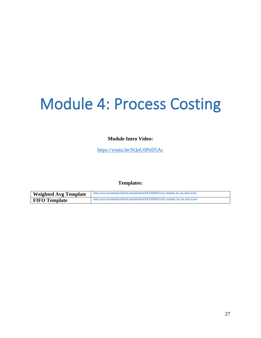## <span id="page-26-0"></span>Module 4: Process Costing

**Module Intro Video:**

<https://youtu.be/SQnU0PeD5Ac>

**Templates:**

| <b>Weighted Avg Template</b> | https://www.accountingworkbook.com/uploads/4/9/8/9/49896931/wa template for ma mod 4.xlsx   |
|------------------------------|---------------------------------------------------------------------------------------------|
| <b>FIFO</b> Template         | https://www.accountingworkbook.com/uploads/4/9/8/9/49896931/fifo template for ma mod 4.xlsx |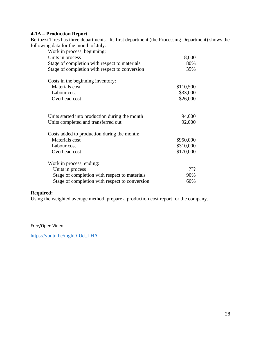#### **4-1A – Production Report**

Bertuzzi Tires has three departments. Its first department (the Processing Department) shows the following data for the month of July:

| 8,000     |
|-----------|
| 80%       |
| 35%       |
|           |
| \$110,500 |
| \$33,000  |
| \$26,000  |
|           |
| 94,000    |
| 92,000    |
|           |
| \$950,000 |
| \$310,000 |
| \$170,000 |
|           |
| ???       |
| 90%       |
| 60%       |
|           |

#### **Required:**

Using the weighted average method, prepare a production cost report for the company.

Free/Open Video:

[https://youtu.be/mghD-Ud\\_LHA](https://youtu.be/mghD-Ud_LHA)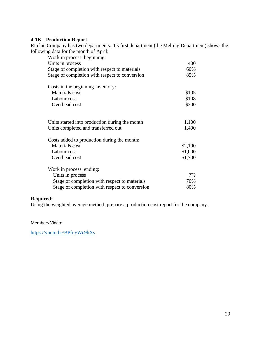#### **4-1B – Production Report**

Ritchie Company has two departments. Its first department (the Melting Department) shows the following data for the month of April:

| Work in process, beginning:                    |         |
|------------------------------------------------|---------|
| Units in process                               | 400     |
| Stage of completion with respect to materials  | 60%     |
| Stage of completion with respect to conversion | 85%     |
| Costs in the beginning inventory:              |         |
| Materials cost                                 | \$105   |
| Labour cost                                    | \$108   |
| Overhead cost                                  | \$300   |
| Units started into production during the month | 1,100   |
| Units completed and transferred out            | 1,400   |
| Costs added to production during the month:    |         |
| Materials cost                                 | \$2,100 |
| Labour cost                                    | \$1,000 |
| Overhead cost                                  | \$1,700 |
| Work in process, ending:                       |         |
| Units in process                               | 222     |
| Stage of completion with respect to materials  | 70%     |
| Stage of completion with respect to conversion | 80%     |

#### **Required:**

Using the weighted average method, prepare a production cost report for the company.

Members Video:

<https://youtu.be/BPfnyWc9hXs>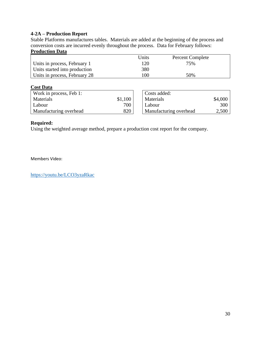#### **4-2A – Production Report**

Stable Platforms manufactures tables. Materials are added at the beginning of the process and conversion costs are incurred evenly throughout the process. Data for February follows: **Production Data**

|                               | Units | <b>Percent Complete</b> |
|-------------------------------|-------|-------------------------|
| Units in process, February 1  | 120   | 75%                     |
| Units started into production | 380   |                         |
| Units in process, February 28 | 100   | 50%                     |

| CUSL D'ALA              |         |                        |         |
|-------------------------|---------|------------------------|---------|
| Work in process, Feb 1: |         | Costs added:           |         |
| Materials               | \$1,100 | Materials              | \$4,000 |
| Labour                  | 700     | Labour                 | 300     |
| Manufacturing overhead  | 820     | Manufacturing overhead | 2,500   |

#### **Required:**

Using the weighted average method, prepare a production cost report for the company.

Members Video:

<https://youtu.be/LCO3yzaRkac>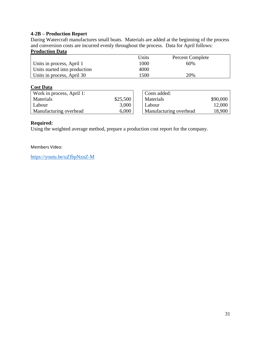#### **4-2B – Production Report**

Daring Watercraft manufactures small boats. Materials are added at the beginning of the process and conversion costs are incurred evenly throughout the process. Data for April follows: **Production Data**

#### Units Percent Complete Units in process, April 1 1000 60% Units started into production 4000 Units in process, April 30 1500 1500 20%

#### **Cost Data**

| Work in process, April 1: |          | Costs added:           |          |
|---------------------------|----------|------------------------|----------|
| Materials                 | \$25,500 | Materials              | \$90,000 |
| Labour                    | 3,000    | Labour                 | 12,000   |
| Manufacturing overhead    | 6,000    | Manufacturing overhead | 18,900   |

#### **Required:**

Using the weighted average method, prepare a production cost report for the company.

Members Video:

<https://youtu.be/uZfbpNznZ-M>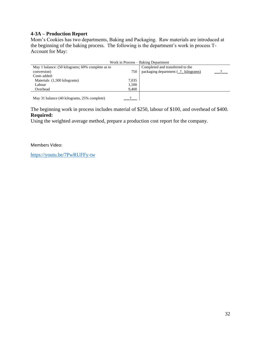#### **4-3A – Production Report**

Mom's Cookies has two departments, Baking and Packaging. Raw materials are introduced at the beginning of the baking process. The following is the department's work in process T-Account for May:

| Work in Process – Baking Department              |       |                                    |  |
|--------------------------------------------------|-------|------------------------------------|--|
| May 1 balance: (50 kilograms; 60% complete as to |       | Completed and transferred to the   |  |
| conversion)                                      | 750   | packaging department (2 kilograms) |  |
| Costs added:                                     |       |                                    |  |
| Materials (1,500 kilograms)                      | 7.035 |                                    |  |
| Labour                                           | 1,500 |                                    |  |
| Overhead                                         | 9,400 |                                    |  |
|                                                  |       |                                    |  |
| May 31 balance (40 kilograms, 25% complete)      |       |                                    |  |

The beginning work in process includes material of \$250, labour of \$100, and overhead of \$400. **Required:**

Using the weighted average method, prepare a production cost report for the company.

Members Video:

<https://youtu.be/7PwRUFFy-tw>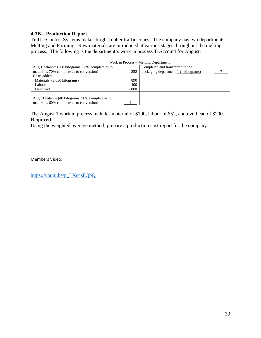#### **4-3B – Production Report**

Traffic Control Systems makes bright rubber traffic cones. The company has two departments, Melting and Forming. Raw materials are introduced at various stages throughout the melting process. The following is the department's work in process T-Account for August:

|                                                                                               |       | Work in Process – Melting Department              |  |
|-----------------------------------------------------------------------------------------------|-------|---------------------------------------------------|--|
| Aug 1 balance: (200 kilograms; 80% complete as to                                             |       | Completed and transferred to the                  |  |
| materials, 70% complete as to conversion)                                                     | 352   | packaging department $($ $\frac{?}{?}$ kilograms) |  |
| Costs added:                                                                                  |       |                                                   |  |
| Materials (2,050 kilograms)                                                                   | 890   |                                                   |  |
| Labour                                                                                        | 400   |                                                   |  |
| Overhead                                                                                      | 2,000 |                                                   |  |
| Aug 31 balance (40 kilograms, 50% complete as to<br>materials, 60% complete as to conversion) |       |                                                   |  |

The August 1 work in process includes material of \$100, labour of \$52, and overhead of \$200. **Required:**

Using the weighted average method, prepare a production cost report for the company.

Members Video:

[https://youtu.be/p\\_LKe4sFQbQ](https://youtu.be/p_LKe4sFQbQ)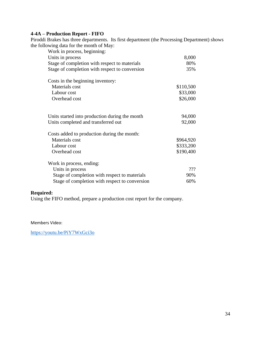#### **4-4A – Production Report - FIFO**

Piroddi Brakes has three departments. Its first department (the Processing Department) shows the following data for the month of May:

| Work in process, beginning:                    |           |
|------------------------------------------------|-----------|
| Units in process                               | 8,000     |
| Stage of completion with respect to materials  | 80%       |
| Stage of completion with respect to conversion | 35%       |
| Costs in the beginning inventory:              |           |
| Materials cost                                 | \$110,500 |
| Labour cost                                    | \$33,000  |
| Overhead cost                                  | \$26,000  |
| Units started into production during the month | 94,000    |
| Units completed and transferred out            | 92,000    |
| Costs added to production during the month:    |           |
| Materials cost                                 | \$964,920 |
| Labour cost                                    | \$333,200 |
| Overhead cost                                  | \$190,400 |
| Work in process, ending:                       |           |
| Units in process                               | ???       |
| Stage of completion with respect to materials  | 90%       |
| Stage of completion with respect to conversion | 60%       |

#### **Required:**

Using the FIFO method, prepare a production cost report for the company.

Members Video:

<https://youtu.be/PiY7WxGci3o>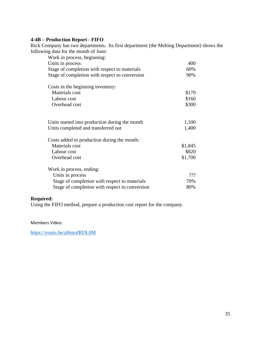#### **4-4B – Production Report - FIFO**

Rick Company has two departments. Its first department (the Melting Department) shows the following data for the month of June:

| Work in process, beginning:                    |         |
|------------------------------------------------|---------|
| Units in process                               | 400     |
| Stage of completion with respect to materials  | 60%     |
| Stage of completion with respect to conversion | 90%     |
| Costs in the beginning inventory:              |         |
| Materials cost                                 | \$170   |
| Labour cost                                    | \$160   |
| Overhead cost                                  | \$300   |
| Units started into production during the month | 1,100   |
| Units completed and transferred out            | 1,400   |
| Costs added to production during the month:    |         |
| Materials cost                                 | \$1,845 |
| Labour cost                                    | \$820   |
| Overhead cost                                  | \$1,700 |
| Work in process, ending:                       |         |
| Units in process                               | ???     |
| Stage of completion with respect to materials  | 70%     |
| Stage of completion with respect to conversion | 80%     |

#### **Required:**

Using the FIFO method, prepare a production cost report for the company.

Members Video:

<https://youtu.be/al6mufRDL0M>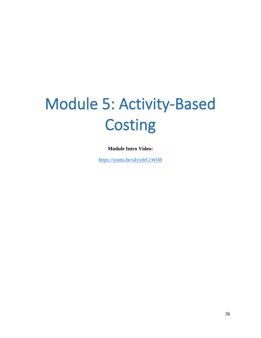# <span id="page-35-0"></span>Module 5: Activity-Based **Costing**

**Module Intro Video:**

<https://youtu.be/uIyydrCcWiM>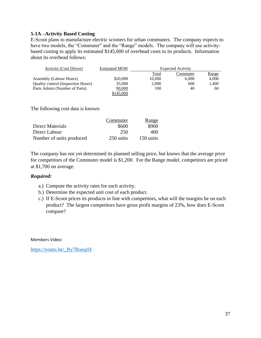# **5-1A –Activity Based Costing**

E-Scoot plans to manufacture electric scooters for urban commuters. The company expects to have two models, the "Commuter" and the "Range" models. The company will use activitybased costing to apply its estimated \$145,000 of overhead costs to its products. Information about its overhead follows:

| <b>Activity (Cost Driver)</b>             | <b>Estimated MOH</b> | <b>Expected Activity</b> |          |              |
|-------------------------------------------|----------------------|--------------------------|----------|--------------|
|                                           |                      | Total                    | Commuter | <u>Range</u> |
| Assembly (Labour Hours)                   | \$20,000             | 10.000                   | 6.000    | 4,000        |
| <b>Quality control (Inspection Hours)</b> | 35,000               | 2.000                    | 600      | 1,400        |
| Parts Admin (Number of Parts)             | 90,000               | 100                      | 40       | 60           |
|                                           | \$145,000            |                          |          |              |

The following cost data is known:

|                          | Commuter  | Range     |
|--------------------------|-----------|-----------|
| Direct Materials         | \$600     | \$900     |
| Direct Labour            | 250       | 400       |
| Number of units produced | 250 units | 150 units |

The company has not yet determined its planned selling price, but knows that the average price for competitors of the Commuter model is \$1,200. For the Range model, competitors are priced at \$1,700 on average.

#### *Required:*

- a.) Compute the activity rates for each activity.
- b.) Determine the expected unit cost of each product.
- c.) If E-Scoot prices its products in line with competitors, what will the margins be on each product? The largest competitors have gross profit margins of 23%, how does E-Scoot compare?

Members Video:

[https://youtu.be/\\_Ry7Roeqif4](https://youtu.be/_Ry7Roeqif4)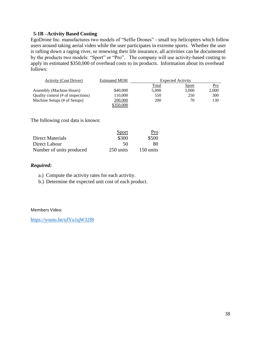#### **5-1B –Activity Based Costing**

EgoDrone Inc. manufactures two models of "Selfie Drones" - small toy helicopters which follow users around taking aerial video while the user participates in extreme sports. Whether the user is rafting down a raging river, or renewing their life insurance, all activities can be documented by the products two models: "Sport" or "Pro". The company will use activity-based costing to apply its estimated \$350,000 of overhead costs to its products. Information about its overhead follows:

| <b>Activity (Cost Driver)</b>      | <b>Estimated MOH</b> | <b>Expected Activity</b> |              |       |
|------------------------------------|----------------------|--------------------------|--------------|-------|
|                                    |                      | <u>Total</u>             | <b>Sport</b> | Pro   |
| <b>Assembly (Machine Hours)</b>    | \$40,000             | 5.000                    | 3.000        | 2,000 |
| Quality control (# of inspections) | 110,000              | 550                      | 250          | 300   |
| Machine Setups (# of Setups)       | 200,000              | 200                      | 70           | 130   |
|                                    | \$350,000            |                          |              |       |

The following cost data is known:

|                          | Sport     | Pro       |
|--------------------------|-----------|-----------|
| Direct Materials         | \$300     | \$500     |
| Direct Labour            | 50        | 80        |
| Number of units produced | 250 units | 150 units |

#### *Required:*

- a.) Compute the activity rates for each activity.
- b.) Determine the expected unit cost of each product.

#### Members Video:

<https://youtu.be/ufYu1qW32f8>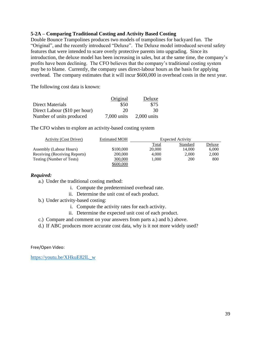#### **5-2A – Comparing Traditional Costing and Activity Based Costing**

Double Bounce Trampolines produces two models of trampolines for backyard fun. The "Original", and the recently introduced "Deluxe". The Deluxe model introduced several safety features that were intended to scare overly protective parents into upgrading. Since its introduction, the deluxe model has been increasing in sales, but at the same time, the company's profits have been declining. The CFO believes that the company's traditional costing system may be to blame. Currently, the company uses direct-labour hours as the basis for applying overhead. The company estimates that it will incur \$600,000 in overhead costs in the next year.

The following cost data is known:

|                               | Original      | Deluxe        |
|-------------------------------|---------------|---------------|
| Direct Materials              | \$50          | \$75          |
| Direct Labour (\$10 per hour) | 20            | 30            |
| Number of units produced      | $7,000$ units | $2,000$ units |

The CFO wishes to explore an activity-based costing system

| <b>Activity (Cost Driver)</b> | <b>Estimated MOH</b> | <b>Expected Activity</b> |          |        |
|-------------------------------|----------------------|--------------------------|----------|--------|
|                               |                      | Total                    | Standard | Deluxe |
| Assembly (Labour Hours)       | \$100,000            | 20,000                   | 14.000   | 6,000  |
| Receiving (Receiving Reports) | 200,000              | 4.000                    | 2,000    | 2,000  |
| Testing (Number of Tests)     | 300,000              | 1.000                    | 200      | 800    |
|                               | \$600,000            |                          |          |        |

#### *Required:*

- a.) Under the traditional costing method:
	- i. Compute the predetermined overhead rate.
	- ii. Determine the unit cost of each product.
- b.) Under activity-based costing:
	- i. Compute the activity rates for each activity.
	- ii. Determine the expected unit cost of each product.
- c.) Compare and comment on your answers from parts a.) and b.) above.
- d.) If ABC produces more accurate cost data, why is it not more widely used?

Free/Open Video:

[https://youtu.be/XHkuE82lL\\_w](https://youtu.be/XHkuE82lL_w)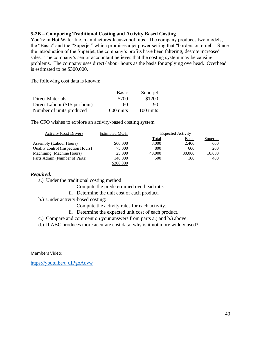#### **5-2B – Comparing Traditional Costing and Activity Based Costing**

You're in Hot Water Inc. manufactures Jacuzzi hot tubs. The company produces two models, the "Basic" and the "Superjet" which promises a jet power setting that "borders on cruel". Since the introduction of the Superjet, the company's profits have been faltering, despite increased sales. The company's senior accountant believes that the costing system may be causing problems. The company uses direct-labour hours as the basis for applying overhead. Overhead is estimated to be \$300,000.

The following cost data is known:

|                               | <b>Basic</b> | Superjet  |
|-------------------------------|--------------|-----------|
| <b>Direct Materials</b>       | \$700        | \$1200    |
| Direct Labour (\$15 per hour) | 60           | 90        |
| Number of units produced      | 600 units    | 100 units |

The CFO wishes to explore an activity-based costing system

| <b>Activity (Cost Driver)</b>      | <b>Estimated MOH</b> | <b>Expected Activity</b> |              |          |  |
|------------------------------------|----------------------|--------------------------|--------------|----------|--|
|                                    |                      | <b>Total</b>             | <b>Basic</b> | Superjet |  |
| Assembly (Labour Hours)            | \$60,000             | 3,000                    | 2,400        | 600      |  |
| Quality control (Inspection Hours) | 75,000               | 800                      | 600          | 200      |  |
| Machining (Machine Hours)          | 25,000               | 40,000                   | 30,000       | 10,000   |  |
| Parts Admin (Number of Parts)      | 140,000              | 500                      | 100          | 400      |  |
|                                    | \$300,000            |                          |              |          |  |

#### *Required:*

- a.) Under the traditional costing method:
	- i. Compute the predetermined overhead rate.
	- ii. Determine the unit cost of each product.
- b.) Under activity-based costing:
	- i. Compute the activity rates for each activity.
	- ii. Determine the expected unit cost of each product.
- c.) Compare and comment on your answers from parts a.) and b.) above.
- d.) If ABC produces more accurate cost data, why is it not more widely used?

Members Video:

[https://youtu.be/t\\_uIPgoAdvw](https://youtu.be/t_uIPgoAdvw)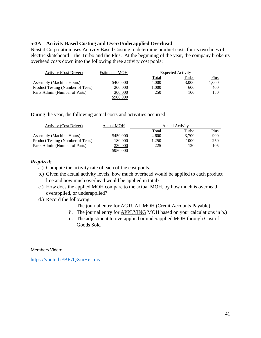# **5-3A – Activity Based Costing and Over/Underapplied Overhead**

Neistat Corporation uses Activity Based Costing to determine product costs for its two lines of electric skateboard – the Turbo and the Plus. At the beginning of the year, the company broke its overhead costs down into the following three activity cost pools:

| <b>Activity (Cost Driver)</b>     | <b>Estimated MOH</b> | <b>Expected Activity</b> |       |       |  |
|-----------------------------------|----------------------|--------------------------|-------|-------|--|
|                                   |                      | <u>Total</u>             | Turbo | Plus  |  |
| Assembly (Machine Hours)          | \$400,000            | 4.000                    | 3.000 | 1,000 |  |
| Product Testing (Number of Tests) | 200,000              | 1,000                    | 600   | 400   |  |
| Parts Admin (Number of Parts)     | 300,000              | 250                      | 100   | 150   |  |
|                                   | 900.000              |                          |       |       |  |

During the year, the following actual costs and activities occurred:

| <b>Activity (Cost Driver)</b>     | <b>Actual MOH</b> | <b>Actual Activity</b> |              |             |  |
|-----------------------------------|-------------------|------------------------|--------------|-------------|--|
|                                   |                   | Total                  | <u>Turbo</u> | <b>Plus</b> |  |
| Assembly (Machine Hours)          | \$450,000         | 4.600                  | 3.700        | 900         |  |
| Product Testing (Number of Tests) | 180,000           | 1.250                  | 1000         | 250         |  |
| Parts Admin (Number of Parts)     | 330,000           | 225                    | 120          | 105         |  |
|                                   | \$950,000         |                        |              |             |  |

#### *Required:*

- a.) Compute the activity rate of each of the cost pools.
- b.) Given the actual activity levels, how much overhead would be applied to each product line and how much overhead would be applied in total?
- c.) How does the applied MOH compare to the actual MOH, by how much is overhead overapplied, or underapplied?
- d.) Record the following:
	- i. The journal entry for ACTUAL MOH (Credit Accounts Payable)
	- ii. The journal entry for APPLYING MOH based on your calculations in b.)
	- iii. The adjustment to overapplied or underapplied MOH through Cost of Goods Sold

Members Video:

<https://youtu.be/BF7QXmHeUms>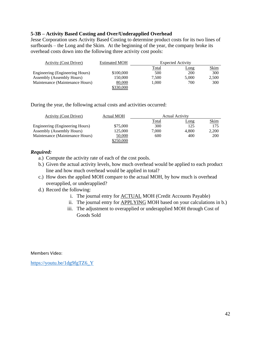#### **5-3B – Activity Based Costing and Over/Underapplied Overhead**

Jesse Corporation uses Activity Based Costing to determine product costs for its two lines of surfboards – the Long and the Skim. At the beginning of the year, the company broke its overhead costs down into the following three activity cost pools:

| <b>Activity (Cost Driver)</b>   | <b>Estimated MOH</b> | <b>Expected Activity</b> |       |             |  |
|---------------------------------|----------------------|--------------------------|-------|-------------|--|
|                                 |                      | Total                    | Long  | <b>Skim</b> |  |
| Engineering (Engineering Hours) | \$100,000            | 500                      | 200   | 300         |  |
| Assembly (Assembly Hours)       | 150,000              | 7.500                    | 5.000 | 2,500       |  |
| Maintenance (Maintenance Hours) | 80,000               | 1.000                    | 700   | 300         |  |
|                                 | ,330,000             |                          |       |             |  |

During the year, the following actual costs and activities occurred:

| <b>Activity (Cost Driver)</b>   | Actual MOH | <b>Actual Activity</b> |       |             |
|---------------------------------|------------|------------------------|-------|-------------|
|                                 |            | <b>Total</b>           | Long  | <u>Skim</u> |
| Engineering (Engineering Hours) | \$75,000   | 300                    | 125   | 175         |
| Assembly (Assembly Hours)       | 125.000    | 7.000                  | 4.800 | 2,200       |
| Maintenance (Maintenance Hours) | 50,000     | 600                    | 400   | 200         |
|                                 | \$250,000  |                        |       |             |

#### *Required:*

- a.) Compute the activity rate of each of the cost pools.
- b.) Given the actual activity levels, how much overhead would be applied to each product line and how much overhead would be applied in total?
- c.) How does the applied MOH compare to the actual MOH, by how much is overhead overapplied, or underapplied?
- d.) Record the following:
	- i. The journal entry for ACTUAL MOH (Credit Accounts Payable)
	- ii. The journal entry for APPLYING MOH based on your calculations in b.)
	- iii. The adjustment to overapplied or underapplied MOH through Cost of Goods Sold

Members Video:

[https://youtu.be/1dg9fgTZ6\\_Y](https://youtu.be/1dg9fgTZ6_Y)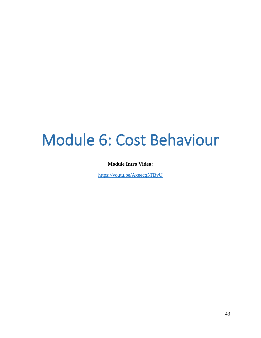# Module 6: Cost Behaviour

#### **Module Intro Video:**

<https://youtu.be/Axeecq5TByU>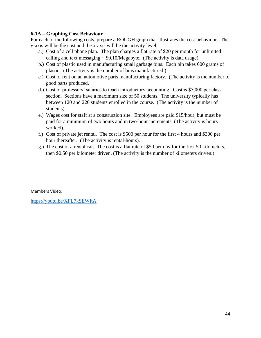# **6-1A – Graphing Cost Behaviour**

For each of the following costs, prepare a ROUGH graph that illustrates the cost behaviour. The y-axis will be the cost and the x-axis will be the activity level.

- a.) Cost of a cell phone plan. The plan charges a flat rate of \$20 per month for unlimited calling and text messaging  $+$  \$0.10/Megabyte. (The activity is data usage)
- b.) Cost of plastic used in manufacturing small garbage bins. Each bin takes 600 grams of plastic. (The activity is the number of bins manufactured.)
- c.) Cost of rent on an automotive parts manufacturing factory. (The activity is the number of good parts produced.
- d.) Cost of professors' salaries to teach introductory accounting. Cost is \$5,000 per class section. Sections have a maximum size of 50 students. The university typically has between 120 and 220 students enrolled in the course. (The activity is the number of students).
- e.) Wages cost for staff at a construction site. Employees are paid \$15/hour, but must be paid for a minimum of two hours and in two-hour increments. (The activity is hours worked).
- f.) Cost of private jet rental. The cost is \$500 per hour for the first 4 hours and \$300 per hour thereafter. (The activity is rental-hours).
- g.) The cost of a rental car. The cost is a flat rate of \$50 per day for the first 50 kilometers, then \$0.50 per kilometer driven. (The activity is the number of kilometers driven.)

Members Video:

<https://youtu.be/XFL7kSEWItA>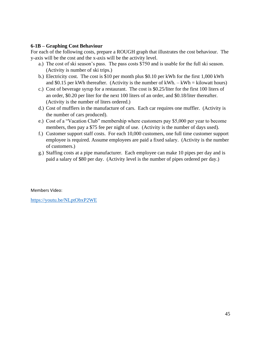# **6-1B – Graphing Cost Behaviour**

For each of the following costs, prepare a ROUGH graph that illustrates the cost behaviour. The y-axis will be the cost and the x-axis will be the activity level.

- a.) The cost of ski season's pass. The pass costs \$750 and is usable for the full ski season. (Activity is number of ski trips.)
- b.) Electricity cost. The cost is \$10 per month plus \$0.10 per kWh for the first 1,000 kWh and \$0.15 per kWh thereafter. (Activity is the number of kWh.  $-kWh = kilowatt hours$ )
- c.) Cost of beverage syrup for a restaurant. The cost is \$0.25/liter for the first 100 liters of an order, \$0.20 per liter for the next 100 liters of an order, and \$0.18/liter thereafter. (Activity is the number of liters ordered.)
- d.) Cost of mufflers in the manufacture of cars. Each car requires one muffler. (Activity is the number of cars produced).
- e.) Cost of a "Vacation Club" membership where customers pay \$5,000 per year to become members, then pay a \$75 fee per night of use. (Activity is the number of days used).
- f.) Customer support staff costs. For each 10,000 customers, one full time customer support employee is required. Assume employees are paid a fixed salary. (Activity is the number of customers.)
- g.) Staffing costs at a pipe manufacturer. Each employee can make 10 pipes per day and is paid a salary of \$80 per day. (Activity level is the number of pipes ordered per day.)

Members Video:

<https://youtu.be/NLptObxP2WE>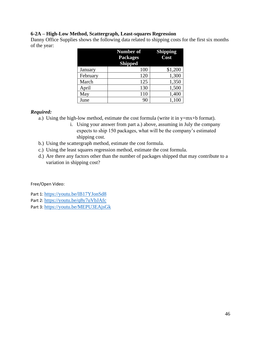## **6-2A – High-Low Method, Scattergraph, Least-squares Regression**

Danny Office Supplies shows the following data related to shipping costs for the first six months of the year:

| <b>Number of</b><br><b>Packages</b><br><b>Shipped</b> |     | <b>Shipping</b><br>Cost |
|-------------------------------------------------------|-----|-------------------------|
| January                                               | 100 | \$1,200                 |
| February                                              | 120 | 1,300                   |
| March                                                 | 125 | 1,350                   |
| April                                                 | 130 | 1,500                   |
| May                                                   | 110 | 1,400                   |
| June                                                  | 90  | 1,100                   |

#### *Required:*

- a.) Using the high-low method, estimate the cost formula (write it in y=mx+b format).
	- i. Using your answer from part a.) above, assuming in July the company expects to ship 150 packages, what will be the company's estimated shipping cost.
- b.) Using the scattergraph method, estimate the cost formula.
- c.) Using the least squares regression method, estimate the cost formula.
- d.) Are there any factors other than the number of packages shipped that may contribute to a variation in shipping cost?

Free/Open Video:

Part 1: <https://youtu.be/lB17YJonSd8> Part 2: <https://youtu.be/q8y7uVbJAfc> Part 3: <https://youtu.be/MEPU3EAjsGk>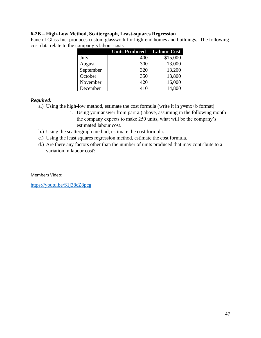#### **6-2B – High-Low Method, Scattergraph, Least-squares Regression**

Pane of Glass Inc. produces custom glasswork for high-end homes and buildings. The following cost data relate to the company's labour costs.

|           | <b>Units Produced</b> Labour Cost |          |
|-----------|-----------------------------------|----------|
| July      | 400                               | \$15,000 |
| August    | 300                               | 13,000   |
| September | 320                               | 13,200   |
| October   | 350                               | 13,800   |
| November  | 420                               | 16,000   |
| December  | 410                               | 14,800   |

#### *Required:*

- a.) Using the high-low method, estimate the cost formula (write it in y=mx+b format).
	- i. Using your answer from part a.) above, assuming in the following month the company expects to make 250 units, what will be the company's estimated labour cost.
- b.) Using the scattergraph method, estimate the cost formula.
- c.) Using the least squares regression method, estimate the cost formula.
- d.) Are there any factors other than the number of units produced that may contribute to a variation in labour cost?

Members Video:

<https://youtu.be/S1j38cZ8pcg>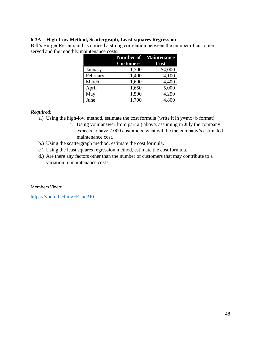# **6-3A – High-Low Method, Scattergraph, Least-squares Regression**

Bill's Burger Restaurant has noticed a strong correlation between the number of customers served and the monthly maintenance costs:

|          |                  | <b>Number of Maintenance</b> |
|----------|------------------|------------------------------|
|          | <b>Customers</b> | Cost                         |
| January  | 1,300            | \$4,000                      |
| February | 1,400            | 4,100                        |
| March    | 1,600            | 4,400                        |
| April    | 1,650            | 5,000                        |
| May      | 1,500            | 4,250                        |
| June     | 1,700            | 4.800                        |

#### *Required:*

- a.) Using the high-low method, estimate the cost formula (write it in y=mx+b format).
	- i. Using your answer from part a.) above, assuming in July the company expects to have 2,000 customers, what will be the company's estimated maintenance cost.
- b.) Using the scattergraph method, estimate the cost formula.
- c.) Using the least squares regression method, estimate the cost formula.
- d.) Are there any factors other than the number of customers that may contribute to a variation in maintenance cost?

Members Video:

[https://youtu.be/bmgFE\\_ud3J0](https://youtu.be/bmgFE_ud3J0)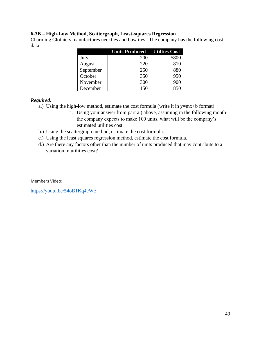#### **6-3B – High-Low Method, Scattergraph, Least-squares Regression**

Charming Clothiers manufactures neckties and bow ties. The company has the following cost data:

| <b>Units Produced</b> |     | <b>Utilties Cost</b> |
|-----------------------|-----|----------------------|
| July                  | 200 | \$800                |
| August                | 220 | 810                  |
| September             | 250 | 880                  |
| October               | 350 | 950                  |
| November              | 300 | 900                  |
| December              | 150 |                      |

# *Required:*

- a.) Using the high-low method, estimate the cost formula (write it in y=mx+b format).
	- i. Using your answer from part a.) above, assuming in the following month the company expects to make 100 units, what will be the company's estimated utilities cost.
- b.) Using the scattergraph method, estimate the cost formula.
- c.) Using the least squares regression method, estimate the cost formula.
- d.) Are there any factors other than the number of units produced that may contribute to a variation in utilities cost?

Members Video:

<https://youtu.be/54oB1Kq4eWc>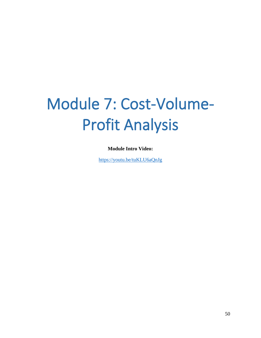# Module 7: Cost-Volume-Profit Analysis

# **Module Intro Video:**

<https://youtu.be/tuKLU6aQnJg>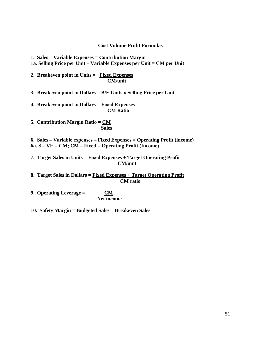#### **Cost Volume Profit Formulas**

**1. Sales – Variable Expenses = Contribution Margin 1a. Selling Price per Unit – Variable Expenses per Unit = CM per Unit**

**2. Breakeven point in Units = Fixed Expenses CM/unit**

**3. Breakeven point in Dollars = B/E Units x Selling Price per Unit**

**4. Breakeven point in Dollars = Fixed Expenses CM Ratio**

**5. Contribution Margin Ratio = CM Sales** 

**6. Sales – Variable expenses – Fixed Expenses = Operating Profit (income) 6a. S – VE = CM; CM – Fixed = Operating Profit (Income)**

**7. Target Sales in Units = Fixed Expenses + Target Operating Profit CM/unit**

**8. Target Sales in Dollars = Fixed Expenses + Target Operating Profit CM ratio**

**9. Operating Leverage = CM Net income** 

**10. Safety Margin = Budgeted Sales – Breakeven Sales**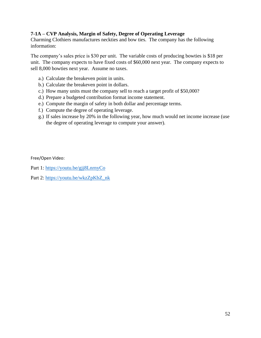# **7-1A – CVP Analysis, Margin of Safety, Degree of Operating Leverage**

Charming Clothiers manufactures neckties and bow ties. The company has the following information:

The company's sales price is \$30 per unit. The variable costs of producing bowties is \$18 per unit. The company expects to have fixed costs of \$60,000 next year. The company expects to sell 8,000 bowties next year. Assume no taxes.

- a.) Calculate the breakeven point in units.
- b.) Calculate the breakeven point in dollars.
- c.) How many units must the company sell to reach a target profit of \$50,000?
- d.) Prepare a budgeted contribution format income statement.
- e.) Compute the margin of safety in both dollar and percentage terms.
- f.) Compute the degree of operating leverage.
- g.) If sales increase by 20% in the following year, how much would net income increase (use the degree of operating leverage to compute your answer).

Free/Open Video:

Part 1:<https://youtu.be/gjj8LnrnyCo>

Part 2: [https://youtu.be/wkzZpKbZ\\_nk](https://youtu.be/wkzZpKbZ_nk)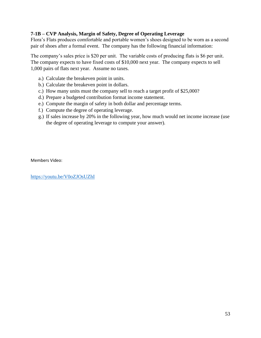# **7-1B – CVP Analysis, Margin of Safety, Degree of Operating Leverage**

Flora's Flats produces comfortable and portable women's shoes designed to be worn as a second pair of shoes after a formal event. The company has the following financial information:

The company's sales price is \$20 per unit. The variable costs of producing flats is \$6 per unit. The company expects to have fixed costs of \$10,000 next year. The company expects to sell 1,000 pairs of flats next year. Assume no taxes.

- a.) Calculate the breakeven point in units.
- b.) Calculate the breakeven point in dollars.
- c.) How many units must the company sell to reach a target profit of \$25,000?
- d.) Prepare a budgeted contribution format income statement.
- e.) Compute the margin of safety in both dollar and percentage terms.
- f.) Compute the degree of operating leverage.
- g.) If sales increase by 20% in the following year, how much would net income increase (use the degree of operating leverage to compute your answer).

Members Video:

<https://youtu.be/V0oZJOsUZhI>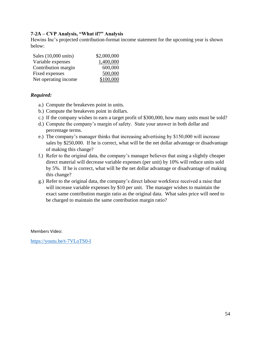# **7-2A – CVP Analysis, "What if?" Analysis**

Hewins Inc's projected contribution-format income statement for the upcoming year is shown below:

| Sales $(10,000 \text{ units})$ | \$2,000,000 |
|--------------------------------|-------------|
| Variable expenses              | 1,400,000   |
| Contribution margin            | 600,000     |
| Fixed expenses                 | 500,000     |
| Net operating income           | \$100,000   |

# *Required:*

- a.) Compute the breakeven point in units.
- b.) Compute the breakeven point in dollars.
- c.) If the company wishes to earn a target profit of \$300,000, how many units must be sold?
- d.) Compute the company's margin of safety. State your answer in both dollar and percentage terms.
- e.) The company's manager thinks that increasing advertising by \$150,000 will increase sales by \$250,000. If he is correct, what will be the net dollar advantage or disadvantage of making this change?
- f.) Refer to the original data, the company's manager believes that using a slightly cheaper direct material will decrease variable expenses (per unit) by 10% will reduce units sold by 5%. If he is correct, what will be the net dollar advantage or disadvantage of making this change?
- g.) Refer to the original data, the company's direct labour workforce received a raise that will increase variable expenses by \$10 per unit. The manager wishes to maintain the exact same contribution margin ratio as the original data. What sales price will need to be charged to maintain the same contribution margin ratio?

Members Video:

<https://youtu.be/t-7VLoTS0-I>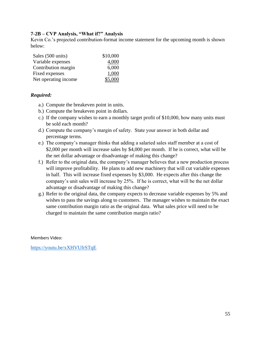#### **7-2B – CVP Analysis, "What if?" Analysis**

Kevin Co.'s projected contribution-format income statement for the upcoming month is shown below:

| Sales (500 units)    | \$10,000 |
|----------------------|----------|
| Variable expenses    | 4,000    |
| Contribution margin  | 6,000    |
| Fixed expenses       | 1,000    |
| Net operating income | \$5,000  |

#### *Required:*

- a.) Compute the breakeven point in units.
- b.) Compute the breakeven point in dollars.
- c.) If the company wishes to earn a monthly target profit of \$10,000, how many units must be sold each month?
- d.) Compute the company's margin of safety. State your answer in both dollar and percentage terms.
- e.) The company's manager thinks that adding a salaried sales staff member at a cost of \$2,000 per month will increase sales by \$4,000 per month. If he is correct, what will be the net dollar advantage or disadvantage of making this change?
- f.) Refer to the original data, the company's manager believes that a new production process will improve profitability. He plans to add new machinery that will cut variable expenses in half. This will increase fixed expenses by \$3,000. He expects after this change the company's unit sales will increase by 25%. If he is correct, what will be the net dollar advantage or disadvantage of making this change?
- g.) Refer to the original data, the company expects to decrease variable expenses by 5% and wishes to pass the savings along to customers. The manager wishes to maintain the exact same contribution margin ratio as the original data. What sales price will need to be charged to maintain the same contribution margin ratio?

Members Video:

<https://youtu.be/xXHVUfrSTqE>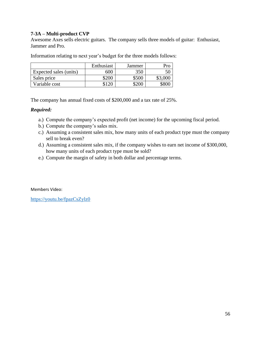# **7-3A – Multi-product CVP**

Awesome Axes sells electric guitars. The company sells three models of guitar: Enthusiast, Jammer and Pro.

Information relating to next year's budget for the three models follows:

|                        | Enthusiast | Jammer |         |
|------------------------|------------|--------|---------|
| Expected sales (units) | 600        | 350    |         |
| Sales price            | \$200      | \$500  | \$3,000 |
| Variable cost          |            |        |         |

The company has annual fixed costs of \$200,000 and a tax rate of 25%.

#### *Required:*

- a.) Compute the company's expected profit (net income) for the upcoming fiscal period.
- b.) Compute the company's sales mix.
- c.) Assuming a consistent sales mix, how many units of each product type must the company sell to break even?
- d.) Assuming a consistent sales mix, if the company wishes to earn net income of \$300,000, how many units of each product type must be sold?
- e.) Compute the margin of safety in both dollar and percentage terms.

Members Video:

<https://youtu.be/fpazCsZylz0>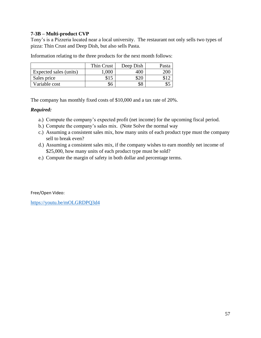# **7-3B – Multi-product CVP**

Tony's is a Pizzeria located near a local university. The restaurant not only sells two types of pizza: Thin Crust and Deep Dish, but also sells Pasta.

Information relating to the three products for the next month follows:

|                        | Thin Crust | Deep Dish | Pasta |
|------------------------|------------|-----------|-------|
| Expected sales (units) | 000.1      | 400       | 200   |
| Sales price            | \$15       |           |       |
| Variable cost          | ახ         | \$8       |       |

The company has monthly fixed costs of \$10,000 and a tax rate of 20%.

#### *Required:*

- a.) Compute the company's expected profit (net income) for the upcoming fiscal period.
- b.) Compute the company's sales mix. (Note Solve the normal way
- c.) Assuming a consistent sales mix, how many units of each product type must the company sell to break even?
- d.) Assuming a consistent sales mix, if the company wishes to earn monthly net income of \$25,000, how many units of each product type must be sold?
- e.) Compute the margin of safety in both dollar and percentage terms.

Free/Open Video:

<https://youtu.be/mOLGRDPQ3d4>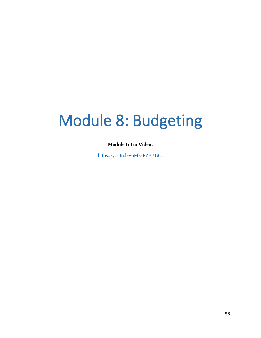# Module 8: Budgeting

#### **Module Intro Video:**

<https://youtu.be/6Mk-PZ8BB6c>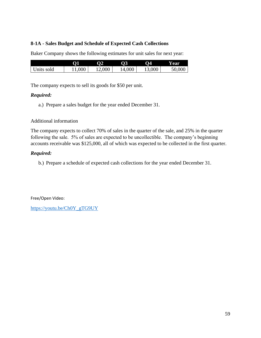# **8-1A - Sales Budget and Schedule of Expected Cash Collections**

Baker Company shows the following estimates for unit sales for next year:

|            | <u>ɗi</u> | <b>O2</b> | 03                | 04   | Y ear  |
|------------|-----------|-----------|-------------------|------|--------|
| Units sold | 000       | 000       | 4,000<br>$\Delta$ | 000, | 50,000 |

The company expects to sell its goods for \$50 per unit.

#### *Required:*

a.) Prepare a sales budget for the year ended December 31.

#### Additional information

The company expects to collect 70% of sales in the quarter of the sale, and 25% in the quarter following the sale. 5% of sales are expected to be uncollectible. The company's beginning accounts receivable was \$125,000, all of which was expected to be collected in the first quarter.

#### *Required:*

b.) Prepare a schedule of expected cash collections for the year ended December 31.

Free/Open Video:

[https://youtu.be/Ch0Y\\_gTG9UY](https://youtu.be/Ch0Y_gTG9UY)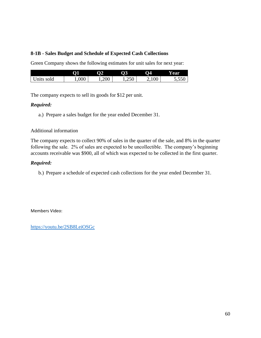#### **8-1B - Sales Budget and Schedule of Expected Cash Collections**

Green Company shows the following estimates for unit sales for next year:

|            | 01    | <b>O2</b> | <b>O3</b> | <b>O4</b> | Y ear |
|------------|-------|-----------|-----------|-----------|-------|
| Units sold | .000. | , 200     | ,250      | 100       |       |

The company expects to sell its goods for \$12 per unit.

#### *Required:*

a.) Prepare a sales budget for the year ended December 31.

#### Additional information

The company expects to collect 90% of sales in the quarter of the sale, and 8% in the quarter following the sale. 2% of sales are expected to be uncollectible. The company's beginning accounts receivable was \$900, all of which was expected to be collected in the first quarter.

#### *Required:*

b.) Prepare a schedule of expected cash collections for the year ended December 31.

Members Video:

<https://youtu.be/2SB8LeiOSGc>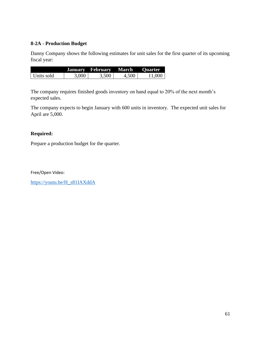# **8-2A - Production Budget**

Danny Company shows the following estimates for unit sales for the first quarter of its upcoming fiscal year:

|            |       | January February March Quarter |       |        |
|------------|-------|--------------------------------|-------|--------|
| Units sold | 3,000 | 3,500                          | 4,500 | 11.000 |

The company requires finished goods inventory on hand equal to 20% of the next month's expected sales.

The company expects to begin January with 600 units in inventory. The expected unit sales for April are 5,000.

# **Required:**

Prepare a production budget for the quarter.

Free/Open Video:

[https://youtu.be/H\\_s81IAXddA](https://youtu.be/H_s81IAXddA)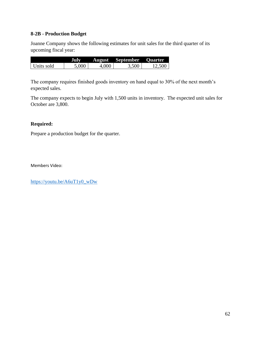# **8-2B - Production Budget**

Joanne Company shows the following estimates for unit sales for the third quarter of its upcoming fiscal year:

|            | <b>JULA</b> |       | <b>August</b> September Quarter |        |
|------------|-------------|-------|---------------------------------|--------|
| Units sold | 5,000       | 4,000 | 3.500                           | 12.500 |

The company requires finished goods inventory on hand equal to 30% of the next month's expected sales.

The company expects to begin July with 1,500 units in inventory. The expected unit sales for October are 3,800.

# **Required:**

Prepare a production budget for the quarter.

Members Video:

[https://youtu.be/A6uT1y0\\_wDw](https://youtu.be/A6uT1y0_wDw)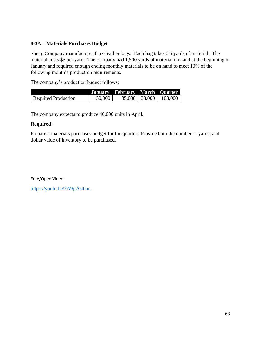# **8-3A – Materials Purchases Budget**

Sheng Company manufactures faux-leather bags. Each bag takes 0.5 yards of material. The material costs \$5 per yard. The company had 1,500 yards of material on hand at the beginning of January and required enough ending monthly materials to be on hand to meet 10% of the following month's production requirements.

The company's production budget follows:

|                     |        | January February March Quarter |                   |         |
|---------------------|--------|--------------------------------|-------------------|---------|
| Required Production | 30,000 |                                | $35,000$   38,000 | 103,000 |

The company expects to produce 40,000 units in April.

# **Required:**

Prepare a materials purchases budget for the quarter. Provide both the number of yards, and dollar value of inventory to be purchased.

Free/Open Video:

<https://youtu.be/2A9jrAst0ac>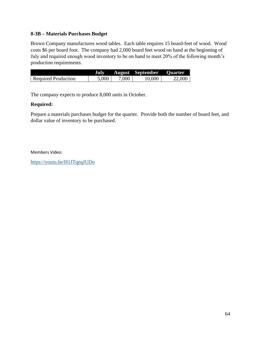# **8-3B – Materials Purchases Budget**

Brown Company manufactures wood tables. Each table requires 15 board-feet of wood. Wood costs \$6 per board foot. The company had 2,000 board feet wood on hand at the beginning of July and required enough wood inventory to be on hand to meet 20% of the following month's production requirements.

|                            | $J$ $\overline{u}$ $\overline{v}$ |       | <b>August September Quarter</b> |        |
|----------------------------|-----------------------------------|-------|---------------------------------|--------|
| <b>Required Production</b> | 5,000                             | 7,000 | 10,000                          | 22,000 |

The company expects to produce 8,000 units in October.

#### **Required:**

Prepare a materials purchases budget for the quarter. Provide both the number of board feet, and dollar value of inventory to be purchased.

Members Video:

<https://youtu.be/H1JTqeqJUDo>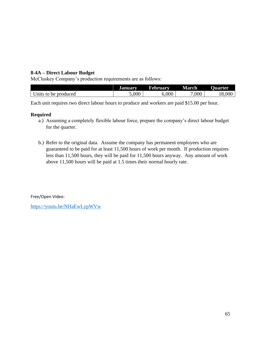# **8-4A – Direct Labour Budget**

McCluskey Company's production requirements are as follows:

|                                      | lanuarv | February | March | O<br>Juarter |
|--------------------------------------|---------|----------|-------|--------------|
| $ -$<br>produced<br>mits<br>to<br>be | 000     | 000      | ,000  | 000          |

Each unit requires two direct labour hours to produce and workers are paid \$15.00 per hour.

# **Required**

- a.) Assuming a completely flexible labour force, prepare the company's direct labour budget for the quarter.
- b.) Refer to the original data. Assume the company has permanent employees who are guaranteed to be paid for at least 11,500 hours of work per month. If production requires less than 11,500 hours, they will be paid for 11,500 hours anyway. Any amount of work above 11,500 hours will be paid at 1.5 times their normal hourly rate.

Free/Open Video:

<https://youtu.be/NHaEwLypWVw>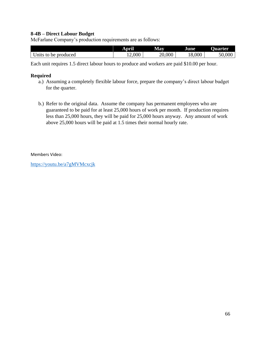## **8-4B – Direct Labour Budget**

McFarlane Company's production requirements are as follows:

|                               | April    | Mav    | June  | <b>Quarter</b> |
|-------------------------------|----------|--------|-------|----------------|
| produced<br>Jnits<br>to<br>be | 000<br>. | 20,000 | 8,000 | 50,000         |

Each unit requires 1.5 direct labour hours to produce and workers are paid \$10.00 per hour.

#### **Required**

- a.) Assuming a completely flexible labour force, prepare the company's direct labour budget for the quarter.
- b.) Refer to the original data. Assume the company has permanent employees who are guaranteed to be paid for at least 25,000 hours of work per month. If production requires less than 25,000 hours, they will be paid for 25,000 hours anyway. Any amount of work above 25,000 hours will be paid at 1.5 times their normal hourly rate.

Members Video:

<https://youtu.be/a7gMVMcxcjk>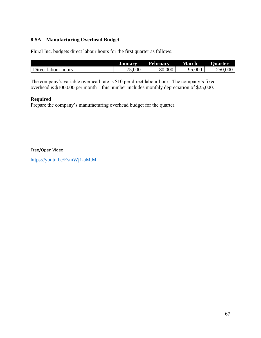# **8-5A – Manufacturing Overhead Budget**

Plural Inc. budgets direct labour hours for the first quarter as follows:

|                           | <b>January</b> | February               | March        | <b>Ouarter</b> |
|---------------------------|----------------|------------------------|--------------|----------------|
| hours<br>labour<br>Jirect | .000<br>- -    | ,000<br>$\Omega$<br>οv | 0.5000<br>۵ς | 50,000<br>~~   |

The company's variable overhead rate is \$10 per direct labour hour. The company's fixed overhead is \$100,000 per month – this number includes monthly depreciation of \$25,000.

#### **Required**

Prepare the company's manufacturing overhead budget for the quarter.

Free/Open Video:

<https://youtu.be/EsmWj1-aMtM>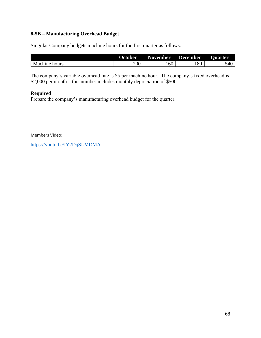# **8-5B – Manufacturing Overhead Budget**

Singular Company budgets machine hours for the first quarter as follows:

|                  | <b>October</b> | November          | <b>December</b> | <b>Ouarter</b>                  |
|------------------|----------------|-------------------|-----------------|---------------------------------|
| Machine<br>hours | 200            | $\epsilon$<br>10U | 180             | $\overline{\phantom{a}}$<br>◡┯◡ |

The company's variable overhead rate is \$5 per machine hour. The company's fixed overhead is \$2,000 per month – this number includes monthly depreciation of \$500.

#### **Required**

Prepare the company's manufacturing overhead budget for the quarter.

Members Video:

<https://youtu.be/IY2DqSLMDMA>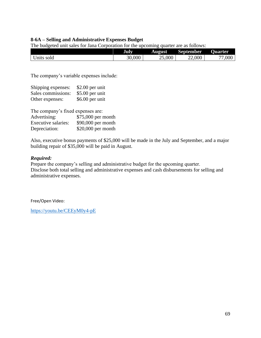#### **8-6A – Selling and Administrative Expenses Budget**

|               | Ξ.<br><b>JULY</b> | . .<br>August  | l<br><b>September</b> | <b>Quarter</b> |
|---------------|-------------------|----------------|-----------------------|----------------|
| sold<br>Jnits | 30,000            | $\angle 5,000$ | 22,000                | 000<br>--      |

The budgeted unit sales for Jana Corporation for the upcoming quarter are as follows:

The company's variable expenses include:

| Shipping expenses: | $$2.00$ per unit |
|--------------------|------------------|
| Sales commissions: | $$5.00$ per unit |
| Other expenses:    | $$6.00$ per unit |

| The company's fixed expenses are: |                    |
|-----------------------------------|--------------------|
| Advertising:                      | \$75,000 per month |
| Executive salaries:               | \$90,000 per month |
| Depreciation:                     | \$20,000 per month |

Also, executive bonus payments of \$25,000 will be made in the July and September, and a major building repair of \$35,000 will be paid in August.

# *Required:*

Prepare the company's selling and administrative budget for the upcoming quarter. Disclose both total selling and administrative expenses and cash disbursements for selling and administrative expenses.

Free/Open Video:

<https://youtu.be/CEEyM0y4-pE>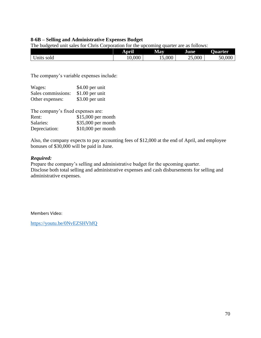#### **8-6B – Selling and Administrative Expenses Budget**

| The budgeted unit safes for Chris Corporation for the upcoming quarter are as follows. |        |            |        |         |
|----------------------------------------------------------------------------------------|--------|------------|--------|---------|
|                                                                                        | April  | <b>May</b> | June.  | Ouarter |
| Units sold                                                                             | 10.000 | 15,000     | 25,000 | 50,000  |

The budgeted unit sales for Chris Corporation for the upcoming quarter are as follows:

The company's variable expenses include:

| \$4.00 per unit  |
|------------------|
| $$1.00$ per unit |
| \$3.00 per unit  |
|                  |

| The company's fixed expenses are: |                    |
|-----------------------------------|--------------------|
| Rent:                             | \$15,000 per month |
| Salaries:                         | \$35,000 per month |
| Depreciation:                     | \$10,000 per month |

Also, the company expects to pay accounting fees of \$12,000 at the end of April, and employee bonuses of \$30,000 will be paid in June.

#### *Required:*

Prepare the company's selling and administrative budget for the upcoming quarter. Disclose both total selling and administrative expenses and cash disbursements for selling and administrative expenses.

Members Video:

<https://youtu.be/0NvEZSHVhfQ>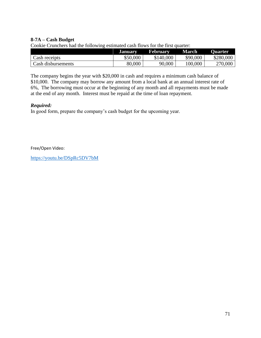# **8-7A – Cash Budget**

| <u>- 2001 - 2002 - 2003 - 2003 - 2004 - 2014 - 2014</u> |                |                 |              |                |  |
|---------------------------------------------------------|----------------|-----------------|--------------|----------------|--|
|                                                         | <b>January</b> | <b>February</b> | <b>March</b> | <b>Ouarter</b> |  |
| Cash receipts                                           | \$50,000       | \$140,000       | \$90,000     | \$280,000      |  |
| Cash disbursements                                      | 80,000         | 90,000          | 100,000      | 270,000        |  |

Cookie Crunchers had the following estimated cash flows for the first quarter:

The company begins the year with \$20,000 in cash and requires a minimum cash balance of \$10,000. The company may borrow any amount from a local bank at an annual interest rate of 6%, The borrowing must occur at the beginning of any month and all repayments must be made at the end of any month. Interest must be repaid at the time of loan repayment.

# *Required:*

In good form, prepare the company's cash budget for the upcoming year.

Free/Open Video:

<https://youtu.be/DSpRc5DV7bM>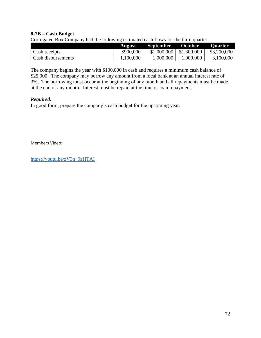#### **8-7B – Cash Budget**

Corrugated Box Company had the following estimated cash flows for the third quarter:

|                    | August    | September   | <b>October</b> | Ouarter     |
|--------------------|-----------|-------------|----------------|-------------|
| Cash receipts      | \$900,000 | \$1,000,000 | \$1,300,000    | \$3,200,000 |
| Cash disbursements | 1,100,000 | 000,000.    | .000,000       | 3,100,000   |

The company begins the year with \$100,000 in cash and requires a minimum cash balance of \$25,000. The company may borrow any amount from a local bank at an annual interest rate of 3%, The borrowing must occur at the beginning of any month and all repayments must be made at the end of any month. Interest must be repaid at the time of loan repayment.

#### *Required:*

In good form, prepare the company's cash budget for the upcoming year.

Members Video:

[https://youtu.be/zV3n\\_9zHTAI](https://youtu.be/zV3n_9zHTAI)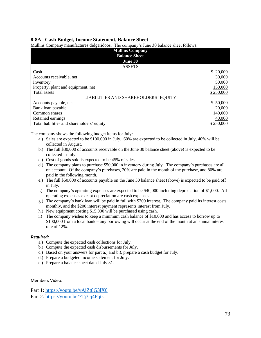### **8-8A –Cash Budget, Income Statement, Balance Sheet**

| <b>Mullins Company</b>                     |           |
|--------------------------------------------|-----------|
| <b>Balance Sheet</b>                       |           |
| <b>June 30</b>                             |           |
| <b>ASSETS</b>                              |           |
| Cash                                       | \$20,000  |
| Accounts receivable, net                   | 30,000    |
| Inventory                                  | 50,000    |
| Property, plant and equipment, net         | 150,000   |
| Total assets                               | \$250,000 |
| LIABILITIES AND SHAREHOLDERS' EQUITY       |           |
| Accounts payable, net                      | \$50,000  |
| Bank loan payable                          | 20,000    |
| Common shares                              | 140,000   |
| Retained earnings                          | 40,000    |
| Total liabilities and shareholders' equity | \$250,000 |

Mullins Company manufactures didgeridoos. The company's June 30 balance sheet follows:

The company shows the following budget items for July:

- a.) Sales are expected to be \$100,000 in July. 60% are expected to be collected in July, 40% will be collected in August.
- b.) The full \$30,000 of accounts receivable on the June 30 balance sheet (above) is expected to be collected in July.
- c.) Cost of goods sold is expected to be 45% of sales.
- d.) The company plans to purchase \$50,000 in inventory during July. The company's purchases are all on account. Of the company's purchases, 20% are paid in the month of the purchase, and 80% are paid in the following month.
- e.) The full \$50,000 of accounts payable on the June 30 balance sheet (above) is expected to be paid off in July.
- f.) The company's operating expenses are expected to be \$40,000 including depreciation of \$1,000. All operating expenses except depreciation are cash expenses.
- g.) The company's bank loan will be paid in full with \$200 interest. The company paid its interest costs monthly, and the \$200 interest payment represents interest from July.
- h.) New equipment costing \$15,000 will be purchased using cash.
- i.) The company wishes to keep a minimum cash balance of \$10,000 and has access to borrow up to \$100,000 from a local bank – any borrowing will occur at the end of the month at an annual interest rate of 12%.

#### *Required:*

- a.) Compute the expected cash collections for July.
- b.) Compute the expected cash disbursements for July.
- c.) Based on your answers for part a.) and b.), prepare a cash budget for July.
- d.) Prepare a budgeted income statement for July.
- e.) Prepare a balance sheet dated July 31.

Members Video:

Part 1:<https://youtu.be/vAjZt8G3lX0> Part 2:<https://youtu.be/7Tj3cj4Fqts>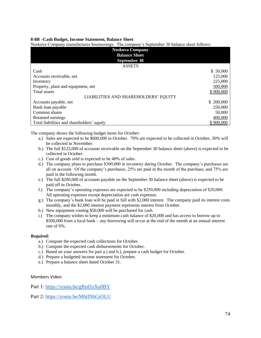#### **8-8B –Cash Budget, Income Statement, Balance Sheet**

| Noskova Company manufactures boomerangs. The company's September 30 balance sheet follows: |           |
|--------------------------------------------------------------------------------------------|-----------|
| <b>Noskova Company</b>                                                                     |           |
| <b>Balance Sheet</b>                                                                       |           |
| <b>September 30</b>                                                                        |           |
| <b>ASSETS</b>                                                                              |           |
| Cash                                                                                       | \$50,000  |
| Accounts receivable, net                                                                   | 125,000   |
| Inventory                                                                                  | 225,000   |
| Property, plant and equipment, net                                                         | 500,000   |
| Total assets                                                                               | \$900,000 |
| LIABILITIES AND SHAREHOLDERS' EQUITY                                                       |           |
| Accounts payable, net                                                                      | \$200,000 |
| Bank loan payable                                                                          | 250,000   |
| Common shares                                                                              | 50,000    |
| Retained earnings                                                                          | 400,000   |
| Total liabilities and shareholders' equity                                                 | \$900,000 |

Noskova Company manufactures boomerangs. The company's September 30 balance sheet follows:

The company shows the following budget items for October:

- a.) Sales are expected to be \$600,000 in October. 70% are expected to be collected in October, 30% will be collected in November.
- b.) The full \$125,000 of accounts receivable on the September 30 balance sheet (above) is expected to be collected in October.
- c.) Cost of goods sold is expected to be 40% of sales.
- d.) The company plans to purchase \$300,000 in inventory during October. The company's purchases are all on account. Of the company's purchases, 25% are paid in the month of the purchase, and 75% are paid in the following month.
- e.) The full \$200,000 of accounts payable on the September 30 balance sheet (above) is expected to be paid off in October.
- f.) The company's operating expenses are expected to be \$250,000 including depreciation of \$20,000. All operating expenses except depreciation are cash expenses.
- g.) The company's bank loan will be paid in full with \$2,000 interest. The company paid its interest costs monthly, and the \$2,000 interest payment represents interest from October.
- h.) New equipment costing \$50,000 will be purchased for cash.
- i.) The company wishes to keep a minimum cash balance of \$20,000 and has access to borrow up to \$500,000 from a local bank – any borrowing will occur at the end of the month at an annual interest rate of 6%.

#### *Required:*

- a.) Compute the expected cash collections for October.
- b.) Compute the expected cash disbursements for October.
- c.) Based on your answers for part a.) and b.), prepare a cash budget for October.
- d.) Prepare a budgeted income statement for October.
- e.) Prepare a balance sheet dated October 31.

#### Members Video:

Part 1:<https://youtu.be/gRed1sXu0BY>

Part 2:<https://youtu.be/M6tINhGiOLU>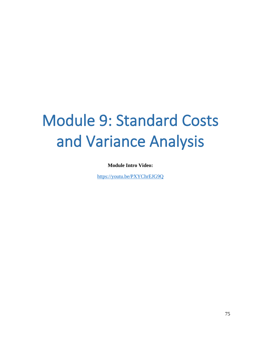# Module 9: Standard Costs and Variance Analysis

**Module Intro Video:**

<https://youtu.be/PXYChrEJG9Q>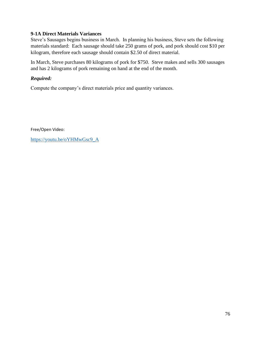## **9-1A Direct Materials Variances**

Steve's Sausages begins business in March. In planning his business, Steve sets the following materials standard: Each sausage should take 250 grams of pork, and pork should cost \$10 per kilogram, therefore each sausage should contain \$2.50 of direct material.

In March, Steve purchases 80 kilograms of pork for \$750. Steve makes and sells 300 sausages and has 2 kilograms of pork remaining on hand at the end of the month.

## *Required:*

Compute the company's direct materials price and quantity variances.

Free/Open Video:

[https://youtu.be/oYHMwGsc9\\_A](https://youtu.be/oYHMwGsc9_A)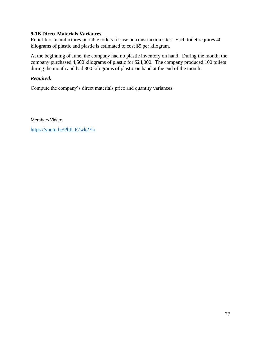## **9-1B Direct Materials Variances**

Relief Inc. manufactures portable toilets for use on construction sites. Each toilet requires 40 kilograms of plastic and plastic is estimated to cost \$5 per kilogram.

At the beginning of June, the company had no plastic inventory on hand. During the month, the company purchased 4,500 kilograms of plastic for \$24,000. The company produced 100 toilets during the month and had 300 kilograms of plastic on hand at the end of the month.

## *Required:*

Compute the company's direct materials price and quantity variances.

Members Video:

<https://youtu.be/PhIUF7wk2Yo>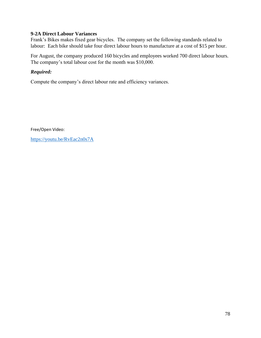## **9-2A Direct Labour Variances**

Frank's Bikes makes fixed gear bicycles. The company set the following standards related to labour: Each bike should take four direct labour hours to manufacture at a cost of \$15 per hour.

For August, the company produced 160 bicycles and employees worked 700 direct labour hours. The company's total labour cost for the month was \$10,000.

## *Required:*

Compute the company's direct labour rate and efficiency variances.

Free/Open Video:

<https://youtu.be/RvEac2n0s7A>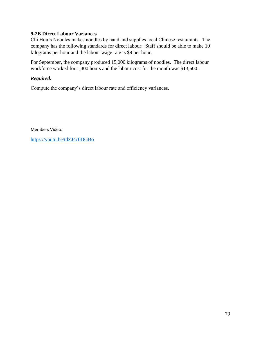# **9-2B Direct Labour Variances**

Chi Hou's Noodles makes noodles by hand and supplies local Chinese restaurants. The company has the following standards for direct labour: Staff should be able to make 10 kilograms per hour and the labour wage rate is \$9 per hour.

For September, the company produced 15,000 kilograms of noodles. The direct labour workforce worked for 1,400 hours and the labour cost for the month was \$13,600.

## *Required:*

Compute the company's direct labour rate and efficiency variances.

Members Video:

<https://youtu.be/tdZJ4c0DGBo>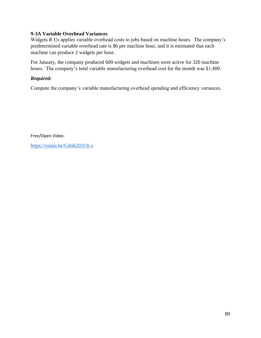# **9-3A Variable Overhead Variances**

Widgets R Us applies variable overhead costs to jobs based on machine hours. The company's predetermined variable overhead rate is \$6 per machine hour, and it is estimated that each machine can produce 2 widgets per hour.

For January, the company produced 600 widgets and machines were active for 320 machine hours. The company's total variable manufacturing overhead cost for the month was \$1,400.

## *Required:*

Compute the company's variable manufacturing overhead spending and efficiency variances.

Free/Open Video:

<https://youtu.be/Gdob2D1Oi-s>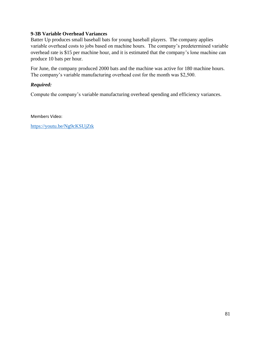# **9-3B Variable Overhead Variances**

Batter Up produces small baseball bats for young baseball players. The company applies variable overhead costs to jobs based on machine hours. The company's predetermined variable overhead rate is \$15 per machine hour, and it is estimated that the company's lone machine can produce 10 bats per hour.

For June, the company produced 2000 bats and the machine was active for 180 machine hours. The company's variable manufacturing overhead cost for the month was \$2,500.

# *Required:*

Compute the company's variable manufacturing overhead spending and efficiency variances.

Members Video:

<https://youtu.be/Ng9cKSUjZtk>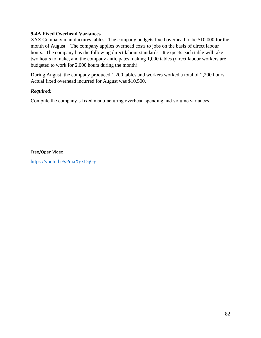# **9-4A Fixed Overhead Variances**

XYZ Company manufactures tables. The company budgets fixed overhead to be \$10,000 for the month of August. The company applies overhead costs to jobs on the basis of direct labour hours. The company has the following direct labour standards: It expects each table will take two hours to make, and the company anticipates making 1,000 tables (direct labour workers are budgeted to work for 2,000 hours during the month).

During August, the company produced 1,200 tables and workers worked a total of 2,200 hours. Actual fixed overhead incurred for August was \$10,500.

## *Required:*

Compute the company's fixed manufacturing overhead spending and volume variances.

Free/Open Video:

<https://youtu.be/sPmaXgxDqGg>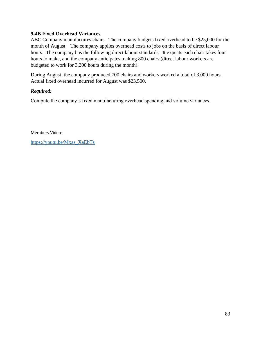# **9-4B Fixed Overhead Variances**

ABC Company manufactures chairs. The company budgets fixed overhead to be \$25,000 for the month of August. The company applies overhead costs to jobs on the basis of direct labour hours. The company has the following direct labour standards: It expects each chair takes four hours to make, and the company anticipates making 800 chairs (direct labour workers are budgeted to work for 3,200 hours during the month).

During August, the company produced 700 chairs and workers worked a total of 3,000 hours. Actual fixed overhead incurred for August was \$23,500.

## *Required:*

Compute the company's fixed manufacturing overhead spending and volume variances.

Members Video:

[https://youtu.be/Mxas\\_XaEbTs](https://youtu.be/Mxas_XaEbTs)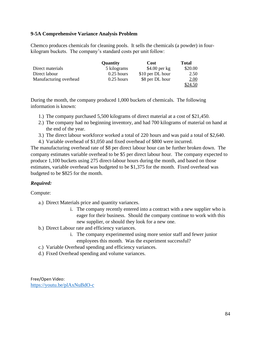# **9-5A Comprehensive Variance Analysis Problem**

Chemco produces chemicals for cleaning pools. It sells the chemicals (a powder) in fourkilogram buckets. The company's standard costs per unit follow:

|                        | <b>Quantity</b> | <b>Cost</b>      | Total   |
|------------------------|-----------------|------------------|---------|
| Direct materials       | 5 kilograms     | $$4.00$ per kg   | \$20.00 |
| Direct labour          | $0.25$ hours    | \$10 per DL hour | 2.50    |
| Manufacturing overhead | $0.25$ hours    | \$8 per DL hour  | 2.00    |
|                        |                 |                  | \$24.50 |

During the month, the company produced 1,000 buckets of chemicals. The following information is known:

- 1.) The company purchased 5,500 kilograms of direct material at a cost of \$21,450.
- 2.) The company had no beginning inventory, and had 700 kilograms of material on hand at the end of the year.
- 3.) The direct labour workforce worked a total of 220 hours and was paid a total of \$2,640.
- 4.) Variable overhead of \$1,050 and fixed overhead of \$800 were incurred.

The manufacturing overhead rate of \$8 per direct labour hour can be further broken down. The company estimates variable overhead to be \$5 per direct labour hour. The company expected to produce 1,100 buckets using 275 direct-labour hours during the month, and based on those estimates, variable overhead was budgeted to be \$1,375 for the month. Fixed overhead was budgeted to be \$825 for the month.

# *Required:*

Compute:

- a.) Direct Materials price and quantity variances.
	- i. The company recently entered into a contract with a new supplier who is eager for their business. Should the company continue to work with this new supplier, or should they look for a new one.
- b.) Direct Labour rate and efficiency variances.
	- i. The company experimented using more senior staff and fewer junior employees this month. Was the experiment successful?
- c.) Variable Overhead spending and efficiency variances.
- d.) Fixed Overhead spending and volume variances.

Free/Open Video: <https://youtu.be/plAxNuBdO-c>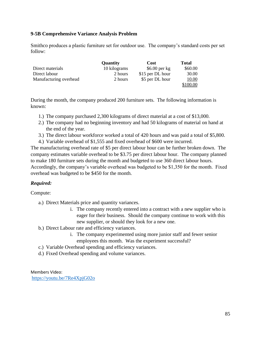# **9-5B Comprehensive Variance Analysis Problem**

Smithco produces a plastic furniture set for outdoor use. The company's standard costs per set follow:

|                        | <b>Quantity</b> | Cost             | <b>Total</b> |
|------------------------|-----------------|------------------|--------------|
| Direct materials       | 10 kilograms    | $$6.00$ per kg   | \$60.00      |
| Direct labour          | 2 hours         | \$15 per DL hour | 30.00        |
| Manufacturing overhead | 2 hours         | \$5 per DL hour  | 10.00        |
|                        |                 |                  | \$100.00     |

During the month, the company produced 200 furniture sets. The following information is known:

- 1.) The company purchased 2,300 kilograms of direct material at a cost of \$13,000.
- 2.) The company had no beginning inventory and had 50 kilograms of material on hand at the end of the year.
- 3.) The direct labour workforce worked a total of 420 hours and was paid a total of \$5,800.
- 4.) Variable overhead of \$1,555 and fixed overhead of \$600 were incurred.

The manufacturing overhead rate of \$5 per direct labour hour can be further broken down. The company estimates variable overhead to be \$3.75 per direct labour hour. The company planned to make 180 furniture sets during the month and budgeted to use 360 direct labour hours.

Accordingly, the company's variable overhead was budgeted to be \$1,350 for the month. Fixed overhead was budgeted to be \$450 for the month.

# *Required:*

Compute:

- a.) Direct Materials price and quantity variances.
	- i. The company recently entered into a contract with a new supplier who is eager for their business. Should the company continue to work with this new supplier, or should they look for a new one.
- b.) Direct Labour rate and efficiency variances.
	- i. The company experimented using more junior staff and fewer senior employees this month. Was the experiment successful?
- c.) Variable Overhead spending and efficiency variances.
- d.) Fixed Overhead spending and volume variances.

Members Video: <https://youtu.be/7Re4XpjG02o>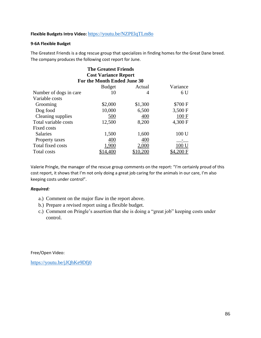## **Flexible Budgets Intro Video:** <https://youtu.be/NZPElqTLm8o>

#### **9-6A Flexible Budget**

The Greatest Friends is a dog rescue group that specializes in finding homes for the Great Dane breed. The company produces the following cost report for June.

|                        | <b>The Greatest Friends</b> |         |          |
|------------------------|-----------------------------|---------|----------|
|                        | <b>Cost Variance Report</b> |         |          |
|                        | For the Month Ended June 30 |         |          |
|                        | <b>Budget</b>               | Actual  | Variance |
| Number of dogs in care | 10                          | 4       | 6 U      |
| Variable costs         |                             |         |          |
| Grooming               | \$2,000                     | \$1,300 | \$700 F  |
| Dog food               | 10,000                      | 6,500   | 3,500 F  |
| Cleaning supplies      | 500                         | 400     | 100 F    |
| Total variable costs   | 12,500                      | 8,200   | 4,300 F  |
| Fixed costs            |                             |         |          |
| <b>Salaries</b>        | 1,500                       | 1,600   | 100 U    |
| Property taxes         | 400                         | 400     |          |
| Total fixed costs      | 1,900                       | 2,000   | 100 U    |
| Total costs            | 14,400                      | 200     |          |

Valerie Pringle, the manager of the rescue group comments on the report: "I'm certainly proud of this cost report, it shows that I'm not only doing a great job caring for the animals in our care, I'm also keeping costs under control".

## *Required:*

- a.) Comment on the major flaw in the report above.
- b.) Prepare a revised report using a flexible budget.
- c.) Comment on Pringle's assertion that she is doing a "great job" keeping costs under control.

Free/Open Video:

<https://youtu.be/jJQhKe9Dfj0>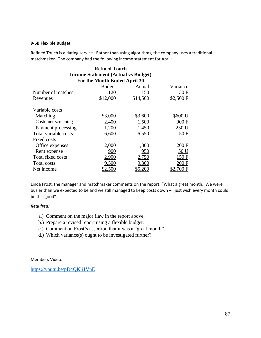#### **9-6B Flexible Budget**

Refined Touch is a dating service. Rather than using algorithms, the company uses a traditional matchmaker. The company had the following income statement for April:

| <b>Refined Touch</b>                       |                              |          |           |  |
|--------------------------------------------|------------------------------|----------|-----------|--|
| <b>Income Statement (Actual vs Budget)</b> |                              |          |           |  |
|                                            | For the Month Ended April 30 |          |           |  |
|                                            | <b>Budget</b>                | Actual   | Variance  |  |
| Number of matches                          | 120                          | 150      | 30F       |  |
| Revenues                                   | \$12,000                     | \$14,500 | \$2,500 F |  |
| Variable costs                             |                              |          |           |  |
| Matching                                   | \$3,000                      | \$3,600  | \$600 U   |  |
| Customer screening                         | 2,400                        | 1,500    | 900 F     |  |
| Payment processing                         | 1,200                        | 1,450    | 250 U     |  |
| Total variable costs                       | 6,600                        | 6,550    | 50F       |  |
| Fixed costs                                |                              |          |           |  |
| Office expenses                            | 2,000                        | 1,800    | 200 F     |  |
| Rent expense                               | 900                          | 950      | 50 U      |  |
| Total fixed costs                          | 2,900                        | 2,750    | 150 F     |  |
| Total costs                                | 9,500                        | 9,300    | 200 F     |  |
| Net income                                 |                              |          |           |  |

Linda Frost, the manager and matchmaker comments on the report: "What a great month. We were busier than we expected to be and we still managed to keep costs down – I just wish every month could be this good".

#### *Required:*

- a.) Comment on the major flaw in the report above.
- b.) Prepare a revised report using a flexible budget.
- c.) Comment on Frost's assertion that it was a "great month".
- d.) Which variance(s) ought to be investigated further?

Members Video:

<https://youtu.be/pD4QKli1VnE>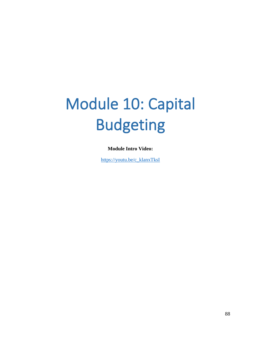# Module 10: Capital Budgeting

**Module Intro Video:**

[https://youtu.be/c\\_klanxTksI](https://youtu.be/c_klanxTksI)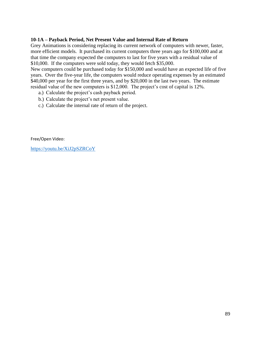# **10-1A – Payback Period, Net Present Value and Internal Rate of Return**

Grey Animations is considering replacing its current network of computers with newer, faster, more efficient models. It purchased its current computers three years ago for \$100,000 and at that time the company expected the computers to last for five years with a residual value of \$10,000. If the computers were sold today, they would fetch \$35,000.

New computers could be purchased today for \$150,000 and would have an expected life of five years. Over the five-year life, the computers would reduce operating expenses by an estimated \$40,000 per year for the first three years, and by \$20,000 in the last two years. The estimate residual value of the new computers is \$12,000. The project's cost of capital is 12%.

- a.) Calculate the project's cash payback period.
- b.) Calculate the project's net present value.
- c.) Calculate the internal rate of return of the project.

Free/Open Video:

<https://youtu.be/XiJ2pSZRCoY>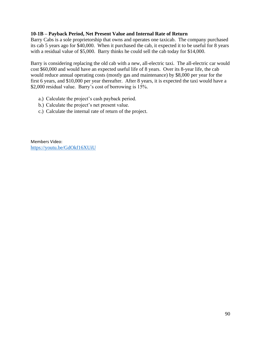## **10-1B – Payback Period, Net Present Value and Internal Rate of Return**

Barry Cabs is a sole proprietorship that owns and operates one taxicab. The company purchased its cab 5 years ago for \$40,000. When it purchased the cab, it expected it to be useful for 8 years with a residual value of \$5,000. Barry thinks he could sell the cab today for \$14,000.

Barry is considering replacing the old cab with a new, all-electric taxi. The all-electric car would cost \$60,000 and would have an expected useful life of 8 years. Over its 8-year life, the cab would reduce annual operating costs (mostly gas and maintenance) by \$8,000 per year for the first 6 years, and \$10,000 per year thereafter. After 8 years, it is expected the taxi would have a \$2,000 residual value. Barry's cost of borrowing is 15%.

- a.) Calculate the project's cash payback period.
- b.) Calculate the project's net present value.
- c.) Calculate the internal rate of return of the project.

Members Video: <https://youtu.be/GdOkf16XUiU>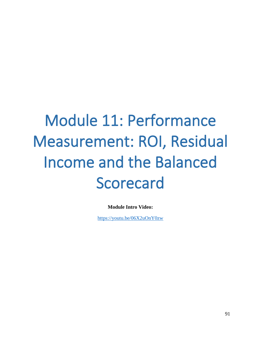# Module 11: Performance Measurement: ROI, Residual Income and the Balanced Scorecard

**Module Intro Video:**

<https://youtu.be/06X2uOnY0zw>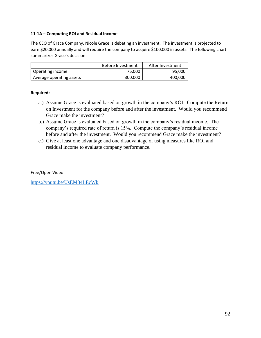#### **11-1A – Computing ROI and Residual Income**

The CEO of Grace Company, Nicole Grace is debating an investment. The investment is projected to earn \$20,000 annually and will require the company to acquire \$100,000 in assets. The following chart summarizes Grace's decision:

|                          | Before Investment | After Investment |
|--------------------------|-------------------|------------------|
| Operating income         | 75.000            | 95.000           |
| Average operating assets | 300,000           | 400.000          |

#### **Required:**

- a.) Assume Grace is evaluated based on growth in the company's ROI. Compute the Return on Investment for the company before and after the investment. Would you recommend Grace make the investment?
- b.) Assume Grace is evaluated based on growth in the company's residual income. The company's required rate of return is 15%. Compute the company's residual income before and after the investment. Would you recommend Grace make the investment?
- c.) Give at least one advantage and one disadvantage of using measures like ROI and residual income to evaluate company performance.

Free/Open Video:

<https://youtu.be/UsEM34LEcWk>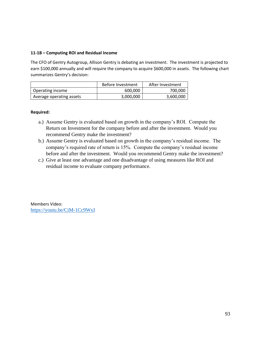## **11-1B – Computing ROI and Residual Income**

The CFO of Gentry Autogroup, Allison Gentry is debating an investment. The investment is projected to earn \$100,000 annually and will require the company to acquire \$600,000 in assets. The following chart summarizes Gentry's decision:

|                          | Before Investment | After Investment |
|--------------------------|-------------------|------------------|
| Operating income         | 600.000           | 700,000          |
| Average operating assets | 3,000,000         | 3,600,000        |

#### **Required:**

- a.) Assume Gentry is evaluated based on growth in the company's ROI. Compute the Return on Investment for the company before and after the investment. Would you recommend Gentry make the investment?
- b.) Assume Gentry is evaluated based on growth in the company's residual income. The company's required rate of return is 15%. Compute the company's residual income before and after the investment. Would you recommend Gentry make the investment?
- c.) Give at least one advantage and one disadvantage of using measures like ROI and residual income to evaluate company performance.

Members Video: <https://youtu.be/CiM-1Cc9WxI>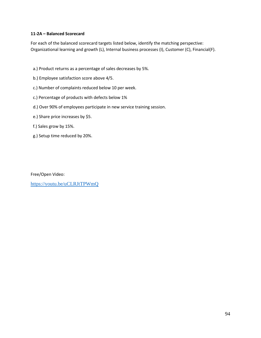#### **11-2A – Balanced Scorecard**

For each of the balanced scorecard targets listed below, identify the matching perspective: Organizational learning and growth (L), Internal business processes (I), Customer (C), Financial(F).

- a.) Product returns as a percentage of sales decreases by 5%.
- b.) Employee satisfaction score above 4/5.
- c.) Number of complaints reduced below 10 per week.
- c.) Percentage of products with defects below 1%
- d.) Over 90% of employees participate in new service training session.
- e.) Share price increases by \$5.
- f.) Sales grow by 15%.
- g.) Setup time reduced by 20%.

Free/Open Video:

<https://youtu.be/uCLRJtTPWmQ>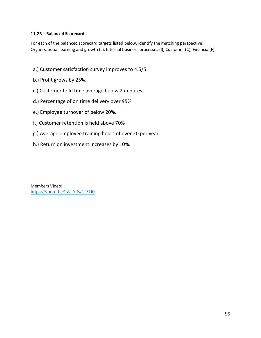## **11-2B – Balanced Scorecard**

For each of the balanced scorecard targets listed below, identify the matching perspective: Organizational learning and growth (L), Internal business processes (I), Customer (C), Financial(F).

- a.) Customer satisfaction survey improves to 4.5/5
- b.) Profit grows by 25%.
- c.) Customer hold time average below 2 minutes.
- d.) Percentage of on time delivery over 95%
- e.) Employee turnover of below 20%.
- f.) Customer retention is held above 70%
- g.) Average employee training hours of over 20 per year.
- h.) Return on investment increases by 10%.

Members Video: [https://youtu.be/2Z\\_YJw1f3D0](https://youtu.be/2Z_YJw1f3D0)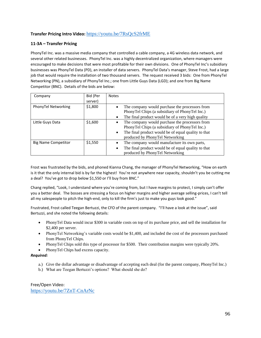## **Transfer Pricing Intro Video:** <https://youtu.be/7RsQcS2frME>

### **11-3A – Transfer Pricing**

PhonyTel Inc. was a massive media company that controlled a cable company, a 4G wireless data network, and several other related businesses. PhonyTel Inc. was a highly decentralized organization, where managers were encouraged to make decisions that were most profitable for their own divisions. One of PhonyTel Inc's subsidiary businesses was PhonyTel Data (PD), an installer of data servers. PhonyTel Data's manager, Steve Frost, had a large job that would require the installation of two thousand servers. The request received 3 bids: One from PhonyTel Networking (PN), a subsidiary of PhonyTel Inc.; one from Little Guys Data (LGD); and one from Big Name Competitor (BNC). Details of the bids are below:

| Company                    | Bid (Per<br>server) | <b>Notes</b>                                                                                                                                                                                                 |
|----------------------------|---------------------|--------------------------------------------------------------------------------------------------------------------------------------------------------------------------------------------------------------|
| PhonyTel Networking        | \$1,800             | The company would purchase the processors from<br>$\bullet$<br>PhonyTel Chips (a subsidiary of PhonyTel Inc.)<br>The final product would be of a very high quality<br>$\bullet$                              |
| Little Guys Data           | \$1,600             | The company would purchase the processors from<br>٠<br>PhonyTel Chips (a subsidiary of PhonyTel Inc.)<br>The final product would be of equal quality to that<br>$\bullet$<br>produced by PhonyTel Networking |
| <b>Big Name Competitor</b> | \$1,550             | The company would manufacture its own parts,<br>The final product would be of equal quality to that<br>$\bullet$<br>produced by PhonyTel Networking                                                          |

Frost was frustrated by the bids, and phoned Kianna Chang, the manager of PhonyTel Networking, "How on earth is it that the only internal bid is by far the highest! You're not anywhere near capacity, shouldn't you be cutting me a deal? You've got to drop below \$1,550 or I'll buy from BNC."

Chang replied, "Look, I understand where you're coming from, but I have margins to protect, I simply can't offer you a better deal. The bosses are stressing a focus on higher margins and higher average selling-prices, I can't tell all my salespeople to pitch the high-end, only to kill the firm's just to make you guys look good."

Frustrated, Frost called Teegan Bertuzzi, the CFO of the parent company. "I'll have a look at the issue", said Bertuzzi, and she noted the following details:

- PhonyTel Data would incur \$300 in variable costs on top of its purchase price, and sell the installation for \$2,400 per server.
- PhonyTel Networking's variable costs would be \$1,400, and included the cost of the processors purchased from PhonyTel Chips.
- PhonyTel Chips sold this type of processor for \$500. Their contribution margins were typically 20%.
- PhonyTel Chips had excess capacity.

#### *Required:*

- a.) Give the dollar advantage or disadvantage of accepting each deal (for the parent company, PhonyTel Inc.)
- b.) What are Teegan Bertuzzi's options? What should she do?

Free/Open Video: <https://youtu.be/7ZnT-CnArNc>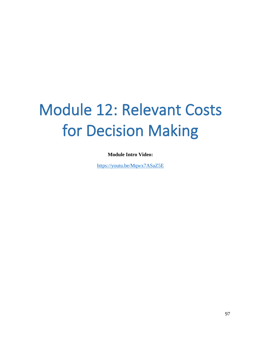# Module 12: Relevant Costs for Decision Making

**Module Intro Video:**

<https://youtu.be/Mqwx7ASaZ5E>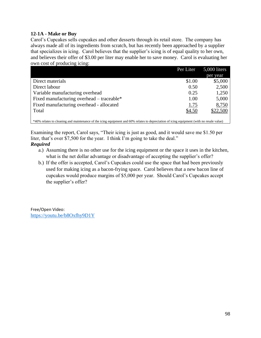# **12-1A - Make or Buy**

Carol's Cupcakes sells cupcakes and other desserts through its retail store. The company has always made all of its ingredients from scratch, but has recently been approached by a supplier that specializes in icing. Carol believes that the supplier's icing is of equal quality to her own, and believes their offer of \$3.00 per liter may enable her to save money. Carol is evaluating her own cost of producing icing:

|                                           | Per Liter | 5,000 liters |
|-------------------------------------------|-----------|--------------|
|                                           |           | per year     |
| Direct materials                          | \$1.00    | \$5,000      |
| Direct labour                             | 0.50      | 2,500        |
| Variable manufacturing overhead           | 0.25      | 1,250        |
| Fixed manufacturing overhead – traceable* | 1.00      | 5,000        |
| Fixed manufacturing overhead - allocated  | 1.75      | 8,750        |
| Total                                     | \$4.50    | \$22,500     |
|                                           |           |              |

\*40% relates to cleaning and maintenance of the icing equipment and 60% relates to depreciation of icing equipment (with no resale value)

Examining the report, Carol says, "Their icing is just as good, and it would save me \$1.50 per liter, that's over \$7,500 for the year. I think I'm going to take the deal."

# *Required*

- a.) Assuming there is no other use for the icing equipment or the space it uses in the kitchen, what is the net dollar advantage or disadvantage of accepting the supplier's offer?
- b.) If the offer is accepted, Carol's Cupcakes could use the space that had been previously used for making icing as a bacon-frying space. Carol believes that a new bacon line of cupcakes would produce margins of \$5,000 per year. Should Carol's Cupcakes accept the supplier's offer?

Free/Open Video: <https://youtu.be/b8Oxfhy9D1Y>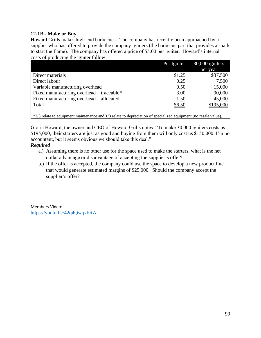# **12-1B - Make or Buy**

Howard Grills makes high-end barbecues. The company has recently been approached by a supplier who has offered to provide the company igniters (the barbecue part that provides a spark to start the flame). The company has offered a price of \$5.00 per igniter. Howard's internal costs of producing the igniter follow:

|                                           | Per Igniter | $30,000$ igniters |
|-------------------------------------------|-------------|-------------------|
|                                           |             | per year          |
| Direct materials                          | \$1.25      | \$37,500          |
| Direct labour                             | 0.25        | 7,500             |
| Variable manufacturing overhead           | 0.50        | 15,000            |
| Fixed manufacturing overhead - traceable* | 3.00        | 90,000            |
| Fixed manufacturing overhead – allocated  | <u>1.50</u> | 45,000            |
| Total                                     | \$6.50      | \$195,000         |
|                                           |             |                   |

\*2/3 relate to equipment maintenance and 1/3 relate to depreciation of specialized equipment (no resale value).

Gloria Howard, the owner and CEO of Howard Grills notes: "To make 30,000 igniters costs us \$195,000, their starters are just as good and buying from them will only cost us \$150,000, I'm no accountant, but it seems obvious we should take this deal."

# *Required*

- a.) Assuming there is no other use for the space used to make the starters, what is the net dollar advantage or disadvantage of accepting the supplier's offer?
- b.) If the offer is accepted, the company could use the space to develop a new product line that would generate estimated margins of \$25,000. Should the company accept the supplier's offer?

Members Video: <https://youtu.be/42q4QwqvbRA>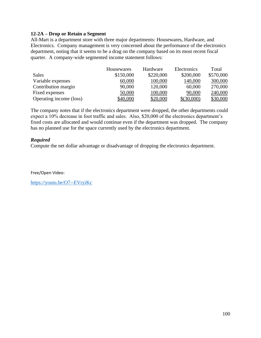## **12-2A – Drop or Retain a Segment**

All-Mart is a department store with three major departments: Housewares, Hardware, and Electronics. Company management is very concerned about the performance of the electronics department, noting that it seems to be a drag on the company based on its most recent fiscal quarter. A company-wide segmented income statement follows:

|                         | <b>Housewares</b> | Hardware  | Electronics | Total     |
|-------------------------|-------------------|-----------|-------------|-----------|
| <b>Sales</b>            | \$150,000         | \$220,000 | \$200,000   | \$570,000 |
| Variable expenses       | 60,000            | 100,000   | 140,000     | 300,000   |
| Contribution margin     | 90,000            | 120,000   | 60,000      | 270,000   |
| Fixed expenses          | 50,000            | 100,000   | 90,000      | 240,000   |
| Operating income (loss) | \$40,000          | \$20,000  | \$(30,000)  | \$30,000  |

The company notes that if the electronics department were dropped, the other departments could expect a 10% decrease in foot traffic and sales. Also, \$20,000 of the electronics department's fixed costs are allocated and would continue even if the department was dropped. The company has no planned use for the space currently used by the electronics department.

## *Required*

Compute the net dollar advantage or disadvantage of dropping the electronics department.

Free/Open Video:

<https://youtu.be/O7--EVryiKc>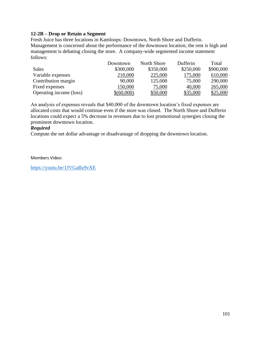## **12-2B – Drop or Retain a Segment**

Fresh Juice has three locations in Kamloops: Downtown, North Shore and Dufferin. Management is concerned about the performance of the downtown location; the rent is high and management is debating closing the store. A company-wide segmented income statement follows:

|                         | Downtown   | North Shore | Dufferin  | Total     |
|-------------------------|------------|-------------|-----------|-----------|
| <b>Sales</b>            | \$300,000  | \$350,000   | \$250,000 | \$900,000 |
| Variable expenses       | 210,000    | 225,000     | 175,000   | 610,000   |
| Contribution margin     | 90,000     | 125,000     | 75,000    | 290,000   |
| Fixed expenses          | 150,000    | 75,000      | 40,000    | 265,000   |
| Operating income (loss) | \$(60,000) | \$50,000    | \$35,000  | \$25,000  |

An analysis of expenses reveals that \$40,000 of the downtown location's fixed expenses are allocated costs that would continue even if the store was closed. The North Shore and Dufferin locations could expect a 5% decrease in revenues due to lost promotional synergies closing the prominent downtown location.

## *Required*

Compute the net dollar advantage or disadvantage of dropping the downtown location.

Members Video:

<https://youtu.be/1JVGaBz9vXE>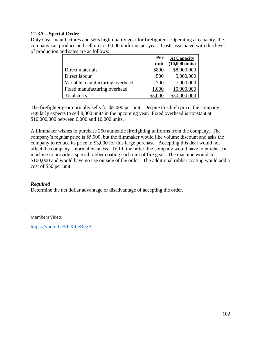# **12-3A – Special Order**

Duty Gear manufactures and sells high-quality gear for firefighters. Operating at capacity, the company can produce and sell up to 10,000 uniforms per year. Costs associated with this level of production and sales are as follows:

|                                 | <b>Per</b> | <b>At Capacity</b>       |
|---------------------------------|------------|--------------------------|
|                                 | unit       | $(10,000 \text{ units})$ |
| Direct materials                | \$800      | \$8,000,000              |
| Direct labour                   | 500        | 5,000,000                |
| Variable manufacturing overhead | 700        | 7,000,000                |
| Fixed manufacturing overhead    | 1,000      | 10,000,000               |
| Total costs                     |            |                          |

The firefighter gear normally sells for \$5,000 per unit. Despite this high price, the company regularly expects to sell 8,000 units in the upcoming year. Fixed overhead is constant at \$10,000,000 between 6,000 and 10,000 units.

A filmmaker wishes to purchase 250 authentic firefighting uniforms from the company. The company's regular price is \$5,000, but the filmmaker would like volume discount and asks the company to reduce its price to \$3,000 for this large purchase. Accepting this deal would not affect the company's normal business. To fill the order, the company would have to purchase a machine to provide a special rubber coating each unit of fire gear. The machine would cost \$100,000 and would have no use outside of the order. The additional rubber coating would add a cost of \$50 per unit.

## *Required*

Determine the net dollar advantage or disadvantage of accepting the order.

Members Video:

<https://youtu.be/5IfXt0eRegA>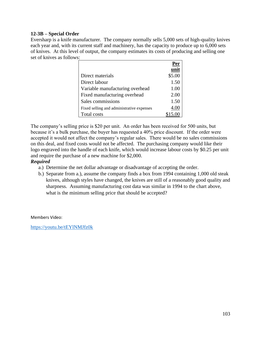# **12-3B – Special Order**

Eversharp is a knife manufacturer. The company normally sells 5,000 sets of high-quality knives each year and, with its current staff and machinery, has the capacity to produce up to 6,000 sets of knives. At this level of output, the company estimates its costs of producing and selling one set of knives as follows:

|                                           | <b>Per</b> |
|-------------------------------------------|------------|
|                                           | unit       |
| Direct materials                          | \$5.00     |
| Direct labour                             | 1.50       |
| Variable manufacturing overhead           | 1.00       |
| Fixed manufacturing overhead              | 2.00       |
| Sales commissions                         | 1.50       |
| Fixed selling and administrative expenses | 4.00       |
| <b>Total costs</b>                        |            |

The company's selling price is \$20 per unit. An order has been received for 500 units, but because it's a bulk purchase, the buyer has requested a 40% price discount. If the order were accepted it would not affect the company's regular sales. There would be no sales commissions on this deal, and fixed costs would not be affected. The purchasing company would like their logo engraved into the handle of each knife, which would increase labour costs by \$0.25 per unit and require the purchase of a new machine for \$2,000.

# *Required*

- a.) Determine the net dollar advantage or disadvantage of accepting the order.
- b.) Separate from a.), assume the company finds a box from 1994 containing 1,000 old steak knives, although styles have changed, the knives are still of a reasonably good quality and sharpness. Assuming manufacturing cost data was similar in 1994 to the chart above, what is the minimum selling price that should be accepted?

Members Video:

<https://youtu.be/tEYlNMJfz0k>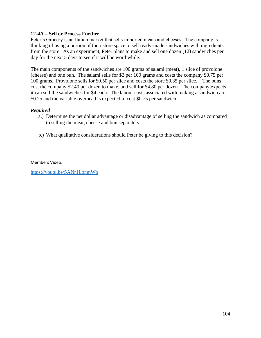# **12-4A – Sell or Process Further**

Peter's Grocery is an Italian market that sells imported meats and cheeses. The company is thinking of using a portion of their store space to sell ready-made sandwiches with ingredients from the store. As an experiment, Peter plans to make and sell one dozen (12) sandwiches per day for the next 5 days to see if it will be worthwhile.

The main components of the sandwiches are 100 grams of salami (meat), 1 slice of provolone (cheese) and one bun. The salami sells for \$2 per 100 grams and costs the company \$0.75 per 100 grams. Provolone sells for \$0.50 per slice and costs the store \$0.35 per slice. The buns cost the company \$2.40 per dozen to make, and sell for \$4.80 per dozen. The company expects it can sell the sandwiches for \$4 each. The labour costs associated with making a sandwich are \$0.25 and the variable overhead is expected to cost \$0.75 per sandwich.

## *Required*

- a.) Determine the net dollar advantage or disadvantage of selling the sandwich as compared to selling the meat, cheese and bun separately.
- b.) What qualitative considerations should Peter be giving to this decision?

Members Video:

<https://youtu.be/SANr1LbnmWo>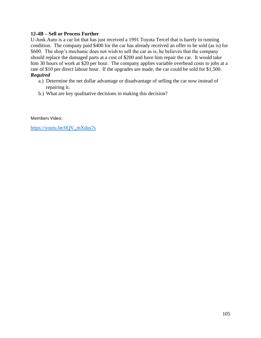# **12-4B – Sell or Process Further**

U-Junk Auto is a car lot that has just received a 1991 Toyota Tercel that is barely in running condition. The company paid \$400 for the car has already received an offer to be sold (as is) for \$600. The shop's mechanic does not wish to sell the car as is, he believes that the company should replace the damaged parts at a cost of \$200 and have him repair the car. It would take him 30 hours of work at \$20 per hour. The company applies variable overhead costs to jobs at a rate of \$10 per direct labour hour. If the upgrades are made, the car could be sold for \$1,500. *Required* 

- a.) Determine the net dollar advantage or disadvantage of selling the car now instead of repairing it.
- b.) What are key qualitative decisions in making this decision?

Members Video:

[https://youtu.be/0QV\\_mXdus7s](https://youtu.be/0QV_mXdus7s)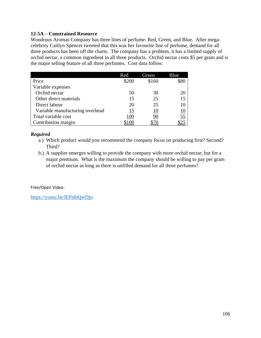# **12-5A – Constrained Resource**

Wondrous Aromas Company has three lines of perfume: Red, Green, and Blue. After megacelebrity Caitlyn Spencer tweeted that this was her favourite line of perfume, demand for all three products has been off the charts. The company has a problem, it has a limited supply of orchid nectar, a common ingredient in all three products. Orchid nectar costs \$5 per gram and is the major selling feature of all three perfumes. Cost data follow:

|                                 | Red   | Green | Blue           |
|---------------------------------|-------|-------|----------------|
| Price                           | \$200 | \$160 |                |
| Variable expenses               |       |       |                |
| Orchid nectar                   | 50    | 30    | 20             |
| Other direct materials          | 15    | 25    | 15             |
| Direct labour                   | 20    | 25    |                |
| Variable manufacturing overhead | 15    | 10    | <u>10</u>      |
| Total variable cost             | 100   | 90    | $\frac{55}{5}$ |
| Contribution margin             |       |       |                |

## *Required*

- a.) Which product would you recommend the company focus on producing first? Second? Third?
- b.) A supplier emerges willing to provide the company with more orchid nectar, but for a major premium. What is the maximum the company should be willing to pay per gram of orchid nectar as long as there is unfilled demand for all three perfumes?

Free/Open Video:

<https://youtu.be/IEPsbiQwDjo>